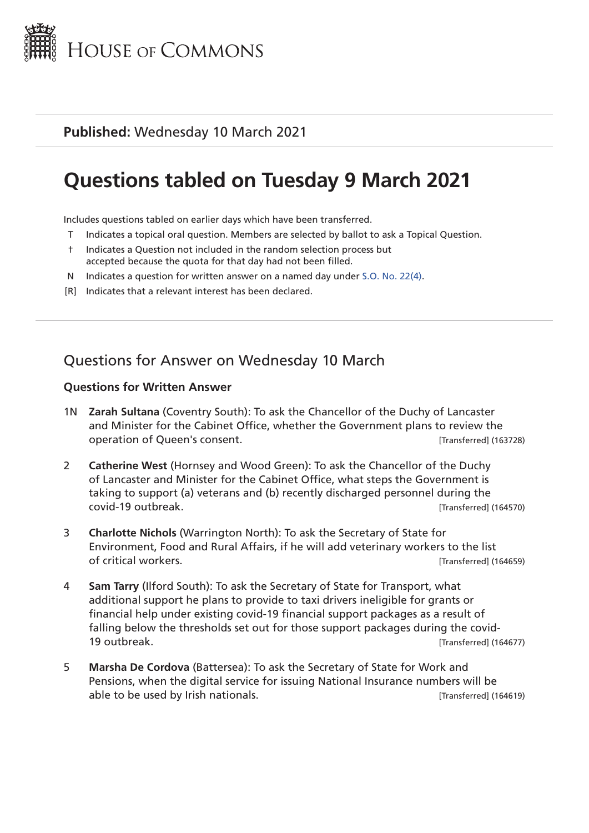

### **Published:** Wednesday 10 March 2021

# **Questions tabled on Tuesday 9 March 2021**

Includes questions tabled on earlier days which have been transferred.

- T Indicates a topical oral question. Members are selected by ballot to ask a Topical Question.
- † Indicates a Question not included in the random selection process but accepted because the quota for that day had not been filled.
- N Indicates a question for written answer on a named day under [S.O. No. 22\(4\)](http://publications.parliament.uk/pa/cm201719/cmstords/0004/body.html#22(4)).
- [R] Indicates that a relevant interest has been declared.

## Questions for Answer on Wednesday 10 March

#### **Questions for Written Answer**

- 1N **Zarah Sultana** (Coventry South): To ask the Chancellor of the Duchy of Lancaster and Minister for the Cabinet Office, whether the Government plans to review the operation of Queen's consent. [Transferred] (163728)
- 2 **Catherine West** (Hornsey and Wood Green): To ask the Chancellor of the Duchy of Lancaster and Minister for the Cabinet Office, what steps the Government is taking to support (a) veterans and (b) recently discharged personnel during the covid-19 outbreak. **[Transferred]** (164570)
- 3 **Charlotte Nichols** (Warrington North): To ask the Secretary of State for Environment, Food and Rural Affairs, if he will add veterinary workers to the list of critical workers. [Transferred] (164659)
- 4 **Sam Tarry** (Ilford South): To ask the Secretary of State for Transport, what additional support he plans to provide to taxi drivers ineligible for grants or financial help under existing covid-19 financial support packages as a result of falling below the thresholds set out for those support packages during the covid-19 outbreak. **In the case of the contract of the contract of the contract of the contract of the contract of the contract of the contract of the contract of the contract of the contract of the contract of the contract of t**
- 5 **Marsha De Cordova** (Battersea): To ask the Secretary of State for Work and Pensions, when the digital service for issuing National Insurance numbers will be able to be used by Irish nationals. [Transferred] (164619)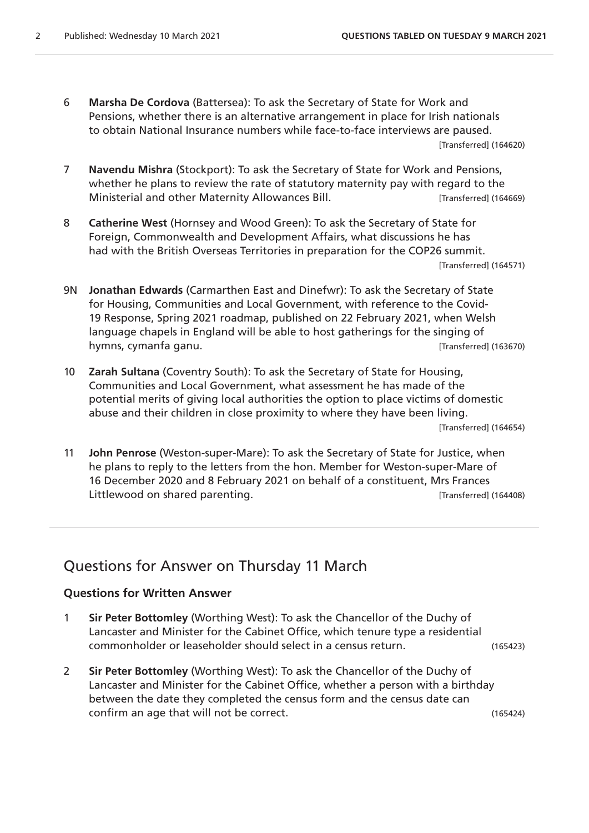- 6 **Marsha De Cordova** (Battersea): To ask the Secretary of State for Work and Pensions, whether there is an alternative arrangement in place for Irish nationals to obtain National Insurance numbers while face-to-face interviews are paused. [Transferred] (164620)
- 7 **Navendu Mishra** (Stockport): To ask the Secretary of State for Work and Pensions, whether he plans to review the rate of statutory maternity pay with regard to the Ministerial and other Maternity Allowances Bill. [Transferred] (164669)
- 8 **Catherine West** (Hornsey and Wood Green): To ask the Secretary of State for Foreign, Commonwealth and Development Affairs, what discussions he has had with the British Overseas Territories in preparation for the COP26 summit. [Transferred] (164571)
- 9N **Jonathan Edwards** (Carmarthen East and Dinefwr): To ask the Secretary of State for Housing, Communities and Local Government, with reference to the Covid-19 Response, Spring 2021 roadmap, published on 22 February 2021, when Welsh language chapels in England will be able to host gatherings for the singing of hymns, cymanfa ganu. **International and the control of the Control** (Transferred] (163670)
- 10 **Zarah Sultana** (Coventry South): To ask the Secretary of State for Housing, Communities and Local Government, what assessment he has made of the potential merits of giving local authorities the option to place victims of domestic abuse and their children in close proximity to where they have been living.

[Transferred] (164654)

11 **John Penrose** (Weston-super-Mare): To ask the Secretary of State for Justice, when he plans to reply to the letters from the hon. Member for Weston-super-Mare of 16 December 2020 and 8 February 2021 on behalf of a constituent, Mrs Frances Littlewood on shared parenting. The same state of the state of the state of the state of the late of the state of the state of the state of the state of the state of the state of the state of the state of the state of the

### Questions for Answer on Thursday 11 March

#### **Questions for Written Answer**

- 1 **Sir Peter Bottomley** (Worthing West): To ask the Chancellor of the Duchy of Lancaster and Minister for the Cabinet Office, which tenure type a residential commonholder or leaseholder should select in a census return. (165423)
- 2 **Sir Peter Bottomley** (Worthing West): To ask the Chancellor of the Duchy of Lancaster and Minister for the Cabinet Office, whether a person with a birthday between the date they completed the census form and the census date can confirm an age that will not be correct. (165424)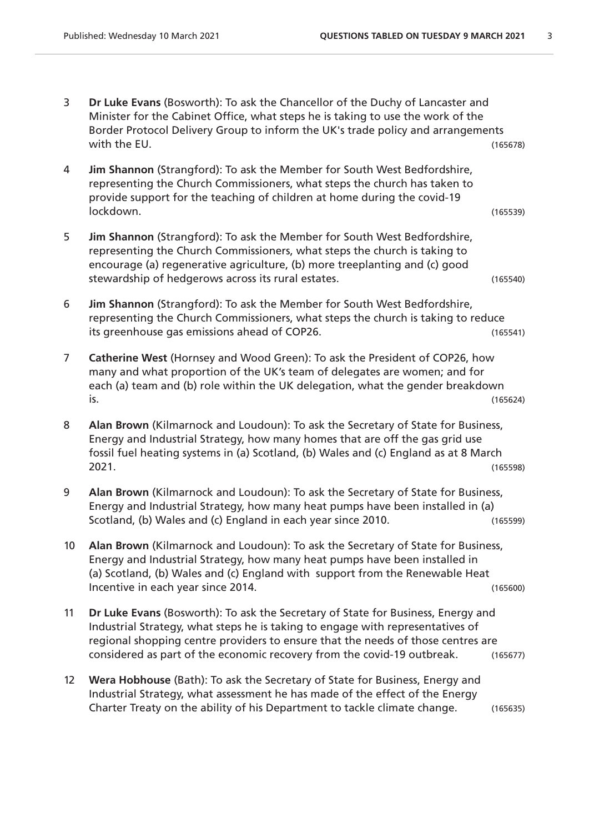- 3 **Dr Luke Evans** (Bosworth): To ask the Chancellor of the Duchy of Lancaster and Minister for the Cabinet Office, what steps he is taking to use the work of the Border Protocol Delivery Group to inform the UK's trade policy and arrangements with the EU. (165678)
- 4 **Jim Shannon** (Strangford): To ask the Member for South West Bedfordshire, representing the Church Commissioners, what steps the church has taken to provide support for the teaching of children at home during the covid-19 lockdown. (165539)
- 5 **Jim Shannon** (Strangford): To ask the Member for South West Bedfordshire, representing the Church Commissioners, what steps the church is taking to encourage (a) regenerative agriculture, (b) more treeplanting and (c) good stewardship of hedgerows across its rural estates. (165540)
- 6 **Jim Shannon** (Strangford): To ask the Member for South West Bedfordshire, representing the Church Commissioners, what steps the church is taking to reduce its greenhouse gas emissions ahead of COP26. (165541)
- 7 **Catherine West** (Hornsey and Wood Green): To ask the President of COP26, how many and what proportion of the UK's team of delegates are women; and for each (a) team and (b) role within the UK delegation, what the gender breakdown is. (165624)
- 8 **Alan Brown** (Kilmarnock and Loudoun): To ask the Secretary of State for Business, Energy and Industrial Strategy, how many homes that are off the gas grid use fossil fuel heating systems in (a) Scotland, (b) Wales and (c) England as at 8 March 2021. (165598)
- 9 **Alan Brown** (Kilmarnock and Loudoun): To ask the Secretary of State for Business, Energy and Industrial Strategy, how many heat pumps have been installed in (a) Scotland, (b) Wales and (c) England in each year since 2010. (165599)
- 10 **Alan Brown** (Kilmarnock and Loudoun): To ask the Secretary of State for Business, Energy and Industrial Strategy, how many heat pumps have been installed in (a) Scotland, (b) Wales and (c) England with support from the Renewable Heat Incentive in each year since 2014. (165600)
- 11 **Dr Luke Evans** (Bosworth): To ask the Secretary of State for Business, Energy and Industrial Strategy, what steps he is taking to engage with representatives of regional shopping centre providers to ensure that the needs of those centres are considered as part of the economic recovery from the covid-19 outbreak. (165677)
- 12 **Wera Hobhouse** (Bath): To ask the Secretary of State for Business, Energy and Industrial Strategy, what assessment he has made of the effect of the Energy Charter Treaty on the ability of his Department to tackle climate change. (165635)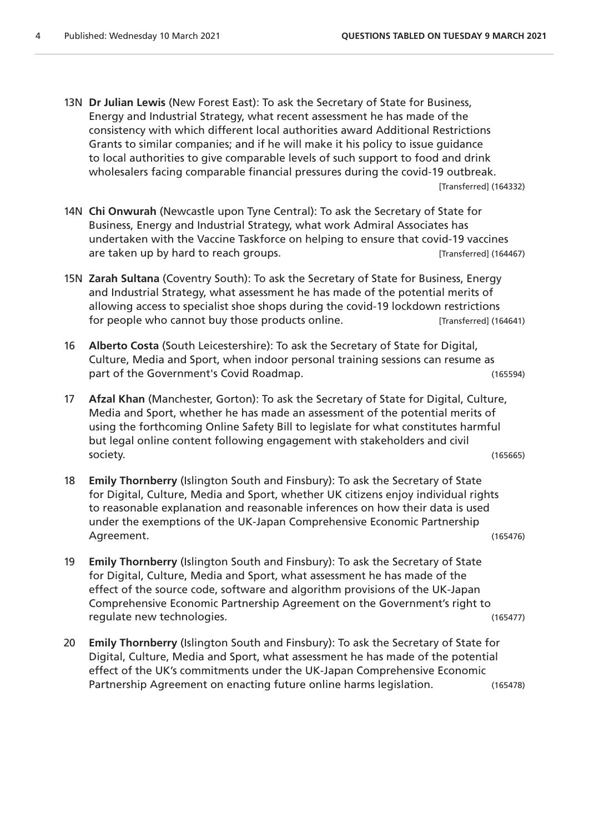- 13N **Dr Julian Lewis** (New Forest East): To ask the Secretary of State for Business, Energy and Industrial Strategy, what recent assessment he has made of the consistency with which different local authorities award Additional Restrictions Grants to similar companies; and if he will make it his policy to issue guidance to local authorities to give comparable levels of such support to food and drink wholesalers facing comparable financial pressures during the covid-19 outbreak. [Transferred] (164332)
- 14N **Chi Onwurah** (Newcastle upon Tyne Central): To ask the Secretary of State for Business, Energy and Industrial Strategy, what work Admiral Associates has undertaken with the Vaccine Taskforce on helping to ensure that covid-19 vaccines are taken up by hard to reach groups. The same taken up in the same state of the same states (164467)
- 15N **Zarah Sultana** (Coventry South): To ask the Secretary of State for Business, Energy and Industrial Strategy, what assessment he has made of the potential merits of allowing access to specialist shoe shops during the covid-19 lockdown restrictions for people who cannot buy those products online. [Transferred] (164641)
- 16 **Alberto Costa** (South Leicestershire): To ask the Secretary of State for Digital, Culture, Media and Sport, when indoor personal training sessions can resume as part of the Government's Covid Roadmap. (165594)
- 17 **Afzal Khan** (Manchester, Gorton): To ask the Secretary of State for Digital, Culture, Media and Sport, whether he has made an assessment of the potential merits of using the forthcoming Online Safety Bill to legislate for what constitutes harmful but legal online content following engagement with stakeholders and civil society. (165665)
- 18 **Emily Thornberry** (Islington South and Finsbury): To ask the Secretary of State for Digital, Culture, Media and Sport, whether UK citizens enjoy individual rights to reasonable explanation and reasonable inferences on how their data is used under the exemptions of the UK-Japan Comprehensive Economic Partnership Agreement. (165476)
- 19 **Emily Thornberry** (Islington South and Finsbury): To ask the Secretary of State for Digital, Culture, Media and Sport, what assessment he has made of the effect of the source code, software and algorithm provisions of the UK-Japan Comprehensive Economic Partnership Agreement on the Government's right to regulate new technologies. (165477)
- 20 **Emily Thornberry** (Islington South and Finsbury): To ask the Secretary of State for Digital, Culture, Media and Sport, what assessment he has made of the potential effect of the UK's commitments under the UK-Japan Comprehensive Economic Partnership Agreement on enacting future online harms legislation. (165478)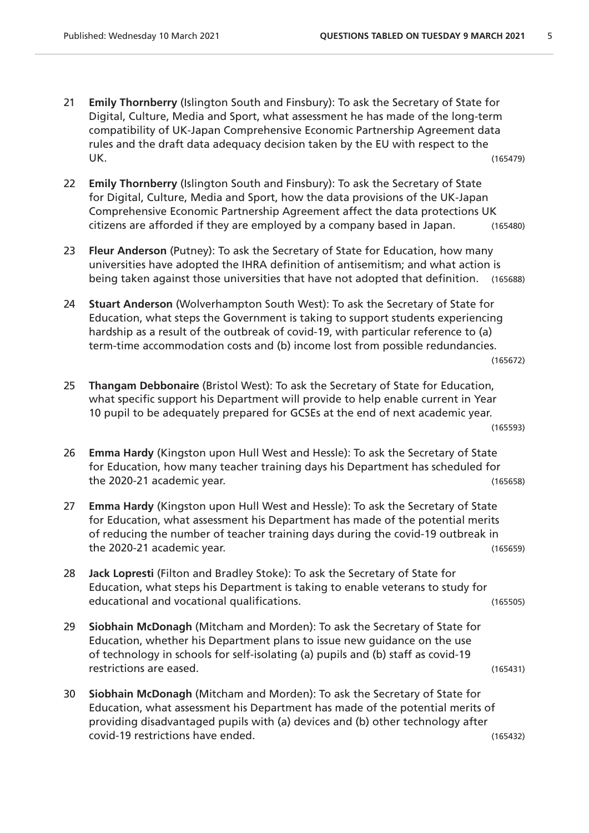- 21 **Emily Thornberry** (Islington South and Finsbury): To ask the Secretary of State for Digital, Culture, Media and Sport, what assessment he has made of the long-term compatibility of UK-Japan Comprehensive Economic Partnership Agreement data rules and the draft data adequacy decision taken by the EU with respect to the UK. (165479)
- 22 **Emily Thornberry** (Islington South and Finsbury): To ask the Secretary of State for Digital, Culture, Media and Sport, how the data provisions of the UK-Japan Comprehensive Economic Partnership Agreement affect the data protections UK citizens are afforded if they are employed by a company based in Japan. (165480)
- 23 **Fleur Anderson** (Putney): To ask the Secretary of State for Education, how many universities have adopted the IHRA definition of antisemitism; and what action is being taken against those universities that have not adopted that definition. (165688)
- 24 **Stuart Anderson** (Wolverhampton South West): To ask the Secretary of State for Education, what steps the Government is taking to support students experiencing hardship as a result of the outbreak of covid-19, with particular reference to (a) term-time accommodation costs and (b) income lost from possible redundancies.

(165672)

- 25 **Thangam Debbonaire** (Bristol West): To ask the Secretary of State for Education, what specific support his Department will provide to help enable current in Year 10 pupil to be adequately prepared for GCSEs at the end of next academic year. (165593)
- 26 **Emma Hardy** (Kingston upon Hull West and Hessle): To ask the Secretary of State for Education, how many teacher training days his Department has scheduled for the 2020-21 academic year. (165658)
- 27 **Emma Hardy** (Kingston upon Hull West and Hessle): To ask the Secretary of State for Education, what assessment his Department has made of the potential merits of reducing the number of teacher training days during the covid-19 outbreak in the 2020-21 academic year. (165659)
- 28 **Jack Lopresti** (Filton and Bradley Stoke): To ask the Secretary of State for Education, what steps his Department is taking to enable veterans to study for educational and vocational qualifications. (165505)
- 29 **Siobhain McDonagh** (Mitcham and Morden): To ask the Secretary of State for Education, whether his Department plans to issue new guidance on the use of technology in schools for self-isolating (a) pupils and (b) staff as covid-19 restrictions are eased. (165431)
- 30 **Siobhain McDonagh** (Mitcham and Morden): To ask the Secretary of State for Education, what assessment his Department has made of the potential merits of providing disadvantaged pupils with (a) devices and (b) other technology after covid-19 restrictions have ended. (165432)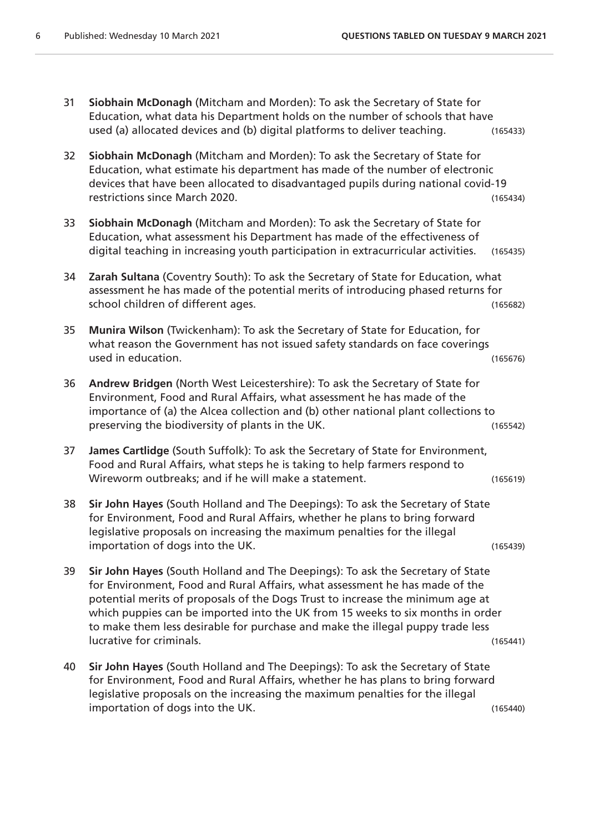- 31 **Siobhain McDonagh** (Mitcham and Morden): To ask the Secretary of State for Education, what data his Department holds on the number of schools that have used (a) allocated devices and (b) digital platforms to deliver teaching. (165433)
- 32 **Siobhain McDonagh** (Mitcham and Morden): To ask the Secretary of State for Education, what estimate his department has made of the number of electronic devices that have been allocated to disadvantaged pupils during national covid-19 restrictions since March 2020. (165434)
- 33 **Siobhain McDonagh** (Mitcham and Morden): To ask the Secretary of State for Education, what assessment his Department has made of the effectiveness of digital teaching in increasing youth participation in extracurricular activities. (165435)
- 34 **Zarah Sultana** (Coventry South): To ask the Secretary of State for Education, what assessment he has made of the potential merits of introducing phased returns for school children of different ages. (165682)
- 35 **Munira Wilson** (Twickenham): To ask the Secretary of State for Education, for what reason the Government has not issued safety standards on face coverings used in education. (165676)
- 36 **Andrew Bridgen** (North West Leicestershire): To ask the Secretary of State for Environment, Food and Rural Affairs, what assessment he has made of the importance of (a) the Alcea collection and (b) other national plant collections to preserving the biodiversity of plants in the UK. (165542)
- 37 **James Cartlidge** (South Suffolk): To ask the Secretary of State for Environment, Food and Rural Affairs, what steps he is taking to help farmers respond to Wireworm outbreaks; and if he will make a statement. (165619)
- 38 **Sir John Hayes** (South Holland and The Deepings): To ask the Secretary of State for Environment, Food and Rural Affairs, whether he plans to bring forward legislative proposals on increasing the maximum penalties for the illegal importation of dogs into the UK. (165439)
- 39 **Sir John Hayes** (South Holland and The Deepings): To ask the Secretary of State for Environment, Food and Rural Affairs, what assessment he has made of the potential merits of proposals of the Dogs Trust to increase the minimum age at which puppies can be imported into the UK from 15 weeks to six months in order to make them less desirable for purchase and make the illegal puppy trade less lucrative for criminals. (165441)
- 40 **Sir John Hayes** (South Holland and The Deepings): To ask the Secretary of State for Environment, Food and Rural Affairs, whether he has plans to bring forward legislative proposals on the increasing the maximum penalties for the illegal importation of dogs into the UK. (165440)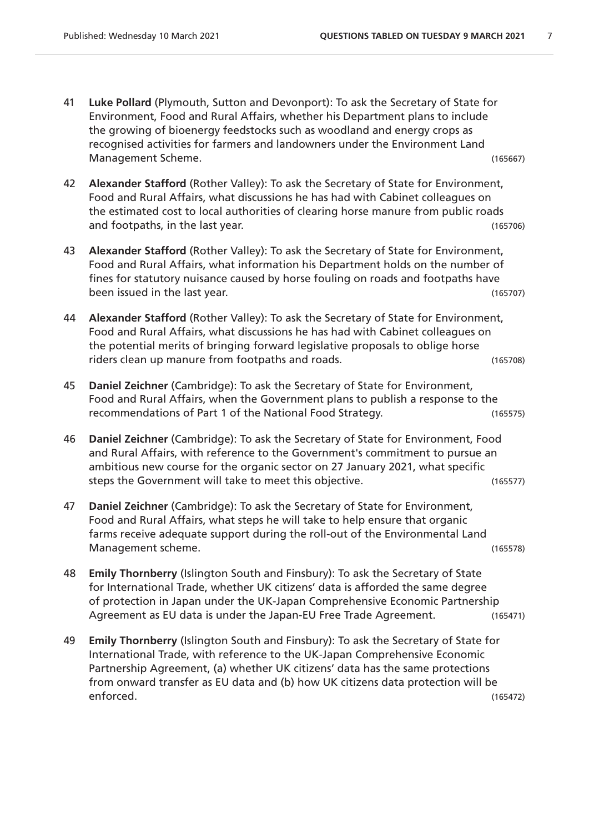- 41 **Luke Pollard** (Plymouth, Sutton and Devonport): To ask the Secretary of State for Environment, Food and Rural Affairs, whether his Department plans to include the growing of bioenergy feedstocks such as woodland and energy crops as recognised activities for farmers and landowners under the Environment Land Management Scheme. (165667)
- 42 **Alexander Stafford** (Rother Valley): To ask the Secretary of State for Environment, Food and Rural Affairs, what discussions he has had with Cabinet colleagues on the estimated cost to local authorities of clearing horse manure from public roads and footpaths, in the last year. (165706)
- 43 **Alexander Stafford** (Rother Valley): To ask the Secretary of State for Environment, Food and Rural Affairs, what information his Department holds on the number of fines for statutory nuisance caused by horse fouling on roads and footpaths have been issued in the last year. (165707)
- 44 **Alexander Stafford** (Rother Valley): To ask the Secretary of State for Environment, Food and Rural Affairs, what discussions he has had with Cabinet colleagues on the potential merits of bringing forward legislative proposals to oblige horse riders clean up manure from footpaths and roads. (165708)
- 45 **Daniel Zeichner** (Cambridge): To ask the Secretary of State for Environment, Food and Rural Affairs, when the Government plans to publish a response to the recommendations of Part 1 of the National Food Strategy. (165575)
- 46 **Daniel Zeichner** (Cambridge): To ask the Secretary of State for Environment, Food and Rural Affairs, with reference to the Government's commitment to pursue an ambitious new course for the organic sector on 27 January 2021, what specific steps the Government will take to meet this objective. The manner of the Government will take to meet this objective.
- 47 **Daniel Zeichner** (Cambridge): To ask the Secretary of State for Environment, Food and Rural Affairs, what steps he will take to help ensure that organic farms receive adequate support during the roll-out of the Environmental Land Management scheme. (165578)
- 48 **Emily Thornberry** (Islington South and Finsbury): To ask the Secretary of State for International Trade, whether UK citizens' data is afforded the same degree of protection in Japan under the UK-Japan Comprehensive Economic Partnership Agreement as EU data is under the Japan-EU Free Trade Agreement. (165471)
- 49 **Emily Thornberry** (Islington South and Finsbury): To ask the Secretary of State for International Trade, with reference to the UK-Japan Comprehensive Economic Partnership Agreement, (a) whether UK citizens' data has the same protections from onward transfer as EU data and (b) how UK citizens data protection will be enforced. (165472)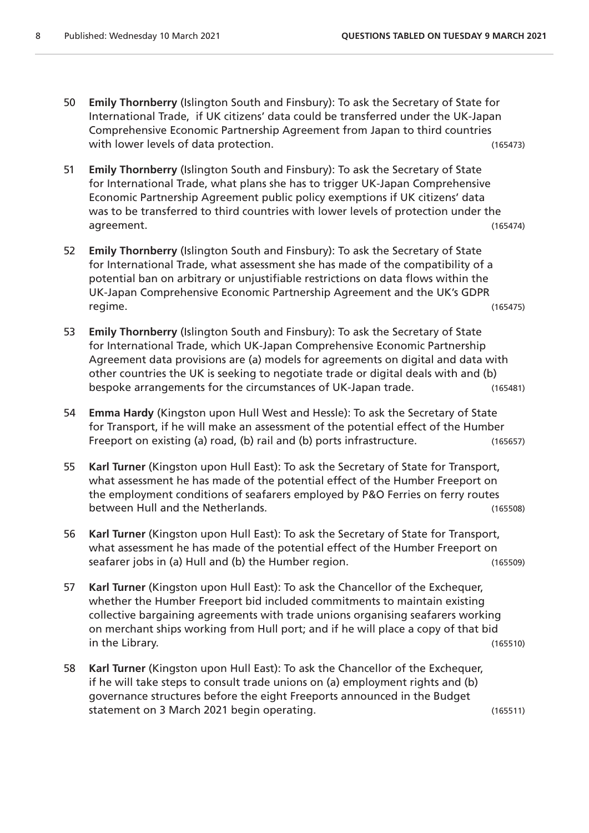- 50 **Emily Thornberry** (Islington South and Finsbury): To ask the Secretary of State for International Trade, if UK citizens' data could be transferred under the UK-Japan Comprehensive Economic Partnership Agreement from Japan to third countries with lower levels of data protection. The same state of the control of the control of the control of the control of the control of the control of the control of the control of the control of the control of the control of t
- 51 **Emily Thornberry** (Islington South and Finsbury): To ask the Secretary of State for International Trade, what plans she has to trigger UK-Japan Comprehensive Economic Partnership Agreement public policy exemptions if UK citizens' data was to be transferred to third countries with lower levels of protection under the agreement. (165474)
- 52 **Emily Thornberry** (Islington South and Finsbury): To ask the Secretary of State for International Trade, what assessment she has made of the compatibility of a potential ban on arbitrary or unjustifiable restrictions on data flows within the UK-Japan Comprehensive Economic Partnership Agreement and the UK's GDPR regime. (165475)
- 53 **Emily Thornberry** (Islington South and Finsbury): To ask the Secretary of State for International Trade, which UK-Japan Comprehensive Economic Partnership Agreement data provisions are (a) models for agreements on digital and data with other countries the UK is seeking to negotiate trade or digital deals with and (b) bespoke arrangements for the circumstances of UK-Japan trade. (165481)
- 54 **Emma Hardy** (Kingston upon Hull West and Hessle): To ask the Secretary of State for Transport, if he will make an assessment of the potential effect of the Humber Freeport on existing (a) road, (b) rail and (b) ports infrastructure. (165657)
- 55 **Karl Turner** (Kingston upon Hull East): To ask the Secretary of State for Transport, what assessment he has made of the potential effect of the Humber Freeport on the employment conditions of seafarers employed by P&O Ferries on ferry routes between Hull and the Netherlands. (165508)
- 56 **Karl Turner** (Kingston upon Hull East): To ask the Secretary of State for Transport, what assessment he has made of the potential effect of the Humber Freeport on seafarer jobs in (a) Hull and (b) the Humber region. (165509)
- 57 **Karl Turner** (Kingston upon Hull East): To ask the Chancellor of the Exchequer, whether the Humber Freeport bid included commitments to maintain existing collective bargaining agreements with trade unions organising seafarers working on merchant ships working from Hull port; and if he will place a copy of that bid in the Library. (165510)
- 58 **Karl Turner** (Kingston upon Hull East): To ask the Chancellor of the Exchequer, if he will take steps to consult trade unions on (a) employment rights and (b) governance structures before the eight Freeports announced in the Budget statement on 3 March 2021 begin operating. (165511)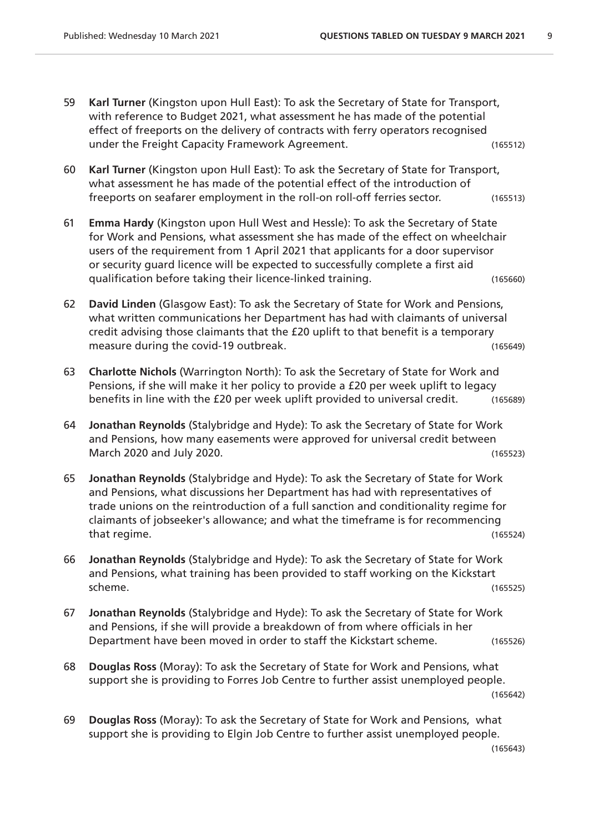- 59 **Karl Turner** (Kingston upon Hull East): To ask the Secretary of State for Transport, with reference to Budget 2021, what assessment he has made of the potential effect of freeports on the delivery of contracts with ferry operators recognised under the Freight Capacity Framework Agreement. (165512)
- 60 **Karl Turner** (Kingston upon Hull East): To ask the Secretary of State for Transport, what assessment he has made of the potential effect of the introduction of freeports on seafarer employment in the roll-on roll-off ferries sector. (165513)
- 61 **Emma Hardy** (Kingston upon Hull West and Hessle): To ask the Secretary of State for Work and Pensions, what assessment she has made of the effect on wheelchair users of the requirement from 1 April 2021 that applicants for a door supervisor or security guard licence will be expected to successfully complete a first aid qualification before taking their licence-linked training. (165660)
- 62 **David Linden** (Glasgow East): To ask the Secretary of State for Work and Pensions, what written communications her Department has had with claimants of universal credit advising those claimants that the £20 uplift to that benefit is a temporary measure during the covid-19 outbreak. (165649)
- 63 **Charlotte Nichols** (Warrington North): To ask the Secretary of State for Work and Pensions, if she will make it her policy to provide a £20 per week uplift to legacy benefits in line with the £20 per week uplift provided to universal credit. (165689)
- 64 **Jonathan Reynolds** (Stalybridge and Hyde): To ask the Secretary of State for Work and Pensions, how many easements were approved for universal credit between March 2020 and July 2020. (165523)
- 65 **Jonathan Reynolds** (Stalybridge and Hyde): To ask the Secretary of State for Work and Pensions, what discussions her Department has had with representatives of trade unions on the reintroduction of a full sanction and conditionality regime for claimants of jobseeker's allowance; and what the timeframe is for recommencing that regime. (165524)
- 66 **Jonathan Reynolds** (Stalybridge and Hyde): To ask the Secretary of State for Work and Pensions, what training has been provided to staff working on the Kickstart scheme. (165525)
- 67 **Jonathan Reynolds** (Stalybridge and Hyde): To ask the Secretary of State for Work and Pensions, if she will provide a breakdown of from where officials in her Department have been moved in order to staff the Kickstart scheme. (165526)
- 68 **Douglas Ross** (Moray): To ask the Secretary of State for Work and Pensions, what support she is providing to Forres Job Centre to further assist unemployed people. (165642)
- 69 **Douglas Ross** (Moray): To ask the Secretary of State for Work and Pensions, what support she is providing to Elgin Job Centre to further assist unemployed people.

(165643)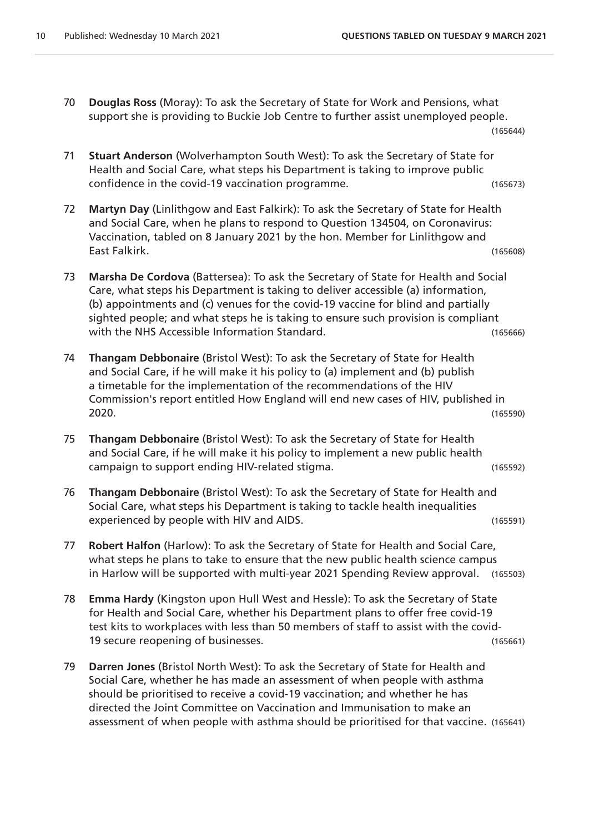70 **Douglas Ross** (Moray): To ask the Secretary of State for Work and Pensions, what support she is providing to Buckie Job Centre to further assist unemployed people.

(165644)

- 71 **Stuart Anderson** (Wolverhampton South West): To ask the Secretary of State for Health and Social Care, what steps his Department is taking to improve public confidence in the covid-19 vaccination programme. (165673)
- 72 **Martyn Day** (Linlithgow and East Falkirk): To ask the Secretary of State for Health and Social Care, when he plans to respond to Question 134504, on Coronavirus: Vaccination, tabled on 8 January 2021 by the hon. Member for Linlithgow and East Falkirk. (165608)
- 73 **Marsha De Cordova** (Battersea): To ask the Secretary of State for Health and Social Care, what steps his Department is taking to deliver accessible (a) information, (b) appointments and (c) venues for the covid-19 vaccine for blind and partially sighted people; and what steps he is taking to ensure such provision is compliant with the NHS Accessible Information Standard. (165666)
- 74 **Thangam Debbonaire** (Bristol West): To ask the Secretary of State for Health and Social Care, if he will make it his policy to (a) implement and (b) publish a timetable for the implementation of the recommendations of the HIV Commission's report entitled How England will end new cases of HIV, published in 2020. (165590)
- 75 **Thangam Debbonaire** (Bristol West): To ask the Secretary of State for Health and Social Care, if he will make it his policy to implement a new public health campaign to support ending HIV-related stigma. (165592)
- 76 **Thangam Debbonaire** (Bristol West): To ask the Secretary of State for Health and Social Care, what steps his Department is taking to tackle health inequalities experienced by people with HIV and AIDS. (165591)
- 77 **Robert Halfon** (Harlow): To ask the Secretary of State for Health and Social Care, what steps he plans to take to ensure that the new public health science campus in Harlow will be supported with multi-year 2021 Spending Review approval. (165503)
- 78 **Emma Hardy** (Kingston upon Hull West and Hessle): To ask the Secretary of State for Health and Social Care, whether his Department plans to offer free covid-19 test kits to workplaces with less than 50 members of staff to assist with the covid-19 secure reopening of businesses. (165661)
- 79 **Darren Jones** (Bristol North West): To ask the Secretary of State for Health and Social Care, whether he has made an assessment of when people with asthma should be prioritised to receive a covid-19 vaccination; and whether he has directed the Joint Committee on Vaccination and Immunisation to make an assessment of when people with asthma should be prioritised for that vaccine. (165641)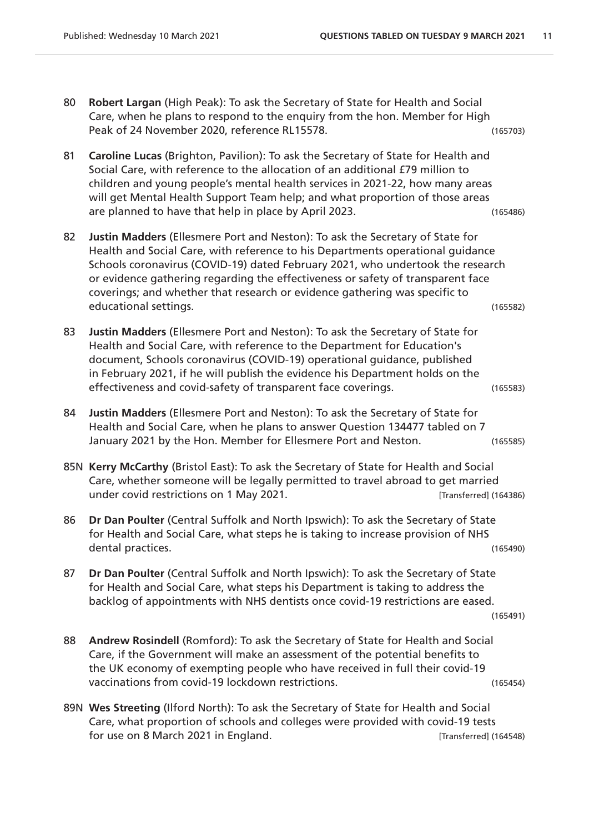- 80 **Robert Largan** (High Peak): To ask the Secretary of State for Health and Social Care, when he plans to respond to the enquiry from the hon. Member for High Peak of 24 November 2020, reference RL15578. (165703)
- 81 **Caroline Lucas** (Brighton, Pavilion): To ask the Secretary of State for Health and Social Care, with reference to the allocation of an additional £79 million to children and young people's mental health services in 2021-22, how many areas will get Mental Health Support Team help; and what proportion of those areas are planned to have that help in place by April 2023. (165486)
- 82 **Justin Madders** (Ellesmere Port and Neston): To ask the Secretary of State for Health and Social Care, with reference to his Departments operational guidance Schools coronavirus (COVID-19) dated February 2021, who undertook the research or evidence gathering regarding the effectiveness or safety of transparent face coverings; and whether that research or evidence gathering was specific to educational settings. (165582)
- 83 **Justin Madders** (Ellesmere Port and Neston): To ask the Secretary of State for Health and Social Care, with reference to the Department for Education's document, Schools coronavirus (COVID-19) operational guidance, published in February 2021, if he will publish the evidence his Department holds on the effectiveness and covid-safety of transparent face coverings. (165583)
- 84 **Justin Madders** (Ellesmere Port and Neston): To ask the Secretary of State for Health and Social Care, when he plans to answer Question 134477 tabled on 7 January 2021 by the Hon. Member for Ellesmere Port and Neston. (165585)
- 85N **Kerry McCarthy** (Bristol East): To ask the Secretary of State for Health and Social Care, whether someone will be legally permitted to travel abroad to get married under covid restrictions on 1 May 2021. [Transferred] (164386)
- 86 **Dr Dan Poulter** (Central Suffolk and North Ipswich): To ask the Secretary of State for Health and Social Care, what steps he is taking to increase provision of NHS dental practices. (165490)
- 87 **Dr Dan Poulter** (Central Suffolk and North Ipswich): To ask the Secretary of State for Health and Social Care, what steps his Department is taking to address the backlog of appointments with NHS dentists once covid-19 restrictions are eased.

(165491)

- 88 **Andrew Rosindell** (Romford): To ask the Secretary of State for Health and Social Care, if the Government will make an assessment of the potential benefits to the UK economy of exempting people who have received in full their covid-19 vaccinations from covid-19 lockdown restrictions. (165454)
- 89N **Wes Streeting** (Ilford North): To ask the Secretary of State for Health and Social Care, what proportion of schools and colleges were provided with covid-19 tests for use on 8 March 2021 in England. The same state of the set of the set of the set of the set of the set of the set of the set of the set of the set of the set of the set of the set of the set of the set of the set of the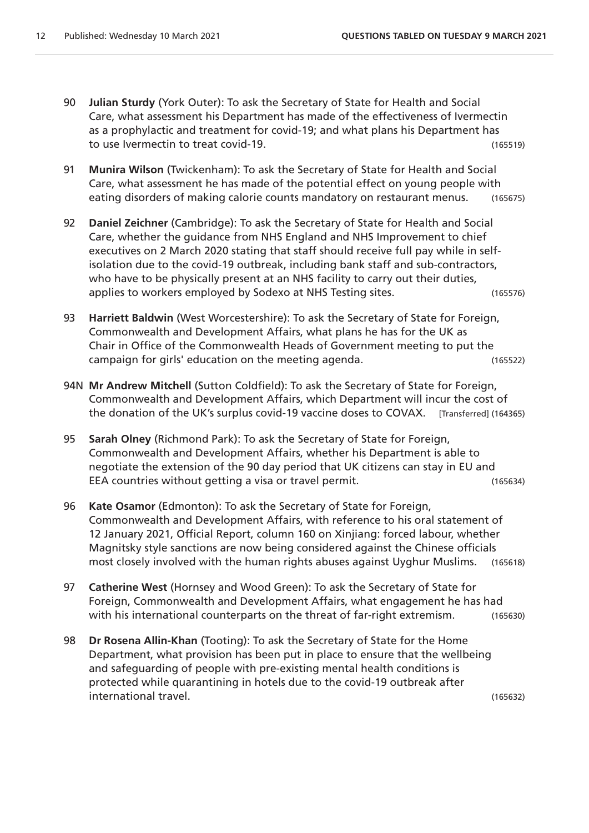- 90 **Julian Sturdy** (York Outer): To ask the Secretary of State for Health and Social Care, what assessment his Department has made of the effectiveness of Ivermectin as a prophylactic and treatment for covid-19; and what plans his Department has to use Ivermectin to treat covid-19. (165519)
- 91 **Munira Wilson** (Twickenham): To ask the Secretary of State for Health and Social Care, what assessment he has made of the potential effect on young people with eating disorders of making calorie counts mandatory on restaurant menus. (165675)
- 92 **Daniel Zeichner** (Cambridge): To ask the Secretary of State for Health and Social Care, whether the guidance from NHS England and NHS Improvement to chief executives on 2 March 2020 stating that staff should receive full pay while in selfisolation due to the covid-19 outbreak, including bank staff and sub-contractors, who have to be physically present at an NHS facility to carry out their duties, applies to workers employed by Sodexo at NHS Testing sites. (165576)
- 93 **Harriett Baldwin** (West Worcestershire): To ask the Secretary of State for Foreign, Commonwealth and Development Affairs, what plans he has for the UK as Chair in Office of the Commonwealth Heads of Government meeting to put the campaign for girls' education on the meeting agenda. (165522)
- 94N **Mr Andrew Mitchell** (Sutton Coldfield): To ask the Secretary of State for Foreign, Commonwealth and Development Affairs, which Department will incur the cost of the donation of the UK's surplus covid-19 vaccine doses to COVAX. [Transferred] (164365)
- 95 **Sarah Olney** (Richmond Park): To ask the Secretary of State for Foreign, Commonwealth and Development Affairs, whether his Department is able to negotiate the extension of the 90 day period that UK citizens can stay in EU and EEA countries without getting a visa or travel permit. (165634)
- 96 **Kate Osamor** (Edmonton): To ask the Secretary of State for Foreign, Commonwealth and Development Affairs, with reference to his oral statement of 12 January 2021, Official Report, column 160 on Xinjiang: forced labour, whether Magnitsky style sanctions are now being considered against the Chinese officials most closely involved with the human rights abuses against Uyghur Muslims. (165618)
- 97 **Catherine West** (Hornsey and Wood Green): To ask the Secretary of State for Foreign, Commonwealth and Development Affairs, what engagement he has had with his international counterparts on the threat of far-right extremism. (165630)
- 98 **Dr Rosena Allin-Khan** (Tooting): To ask the Secretary of State for the Home Department, what provision has been put in place to ensure that the wellbeing and safeguarding of people with pre-existing mental health conditions is protected while quarantining in hotels due to the covid-19 outbreak after international travel. (165632)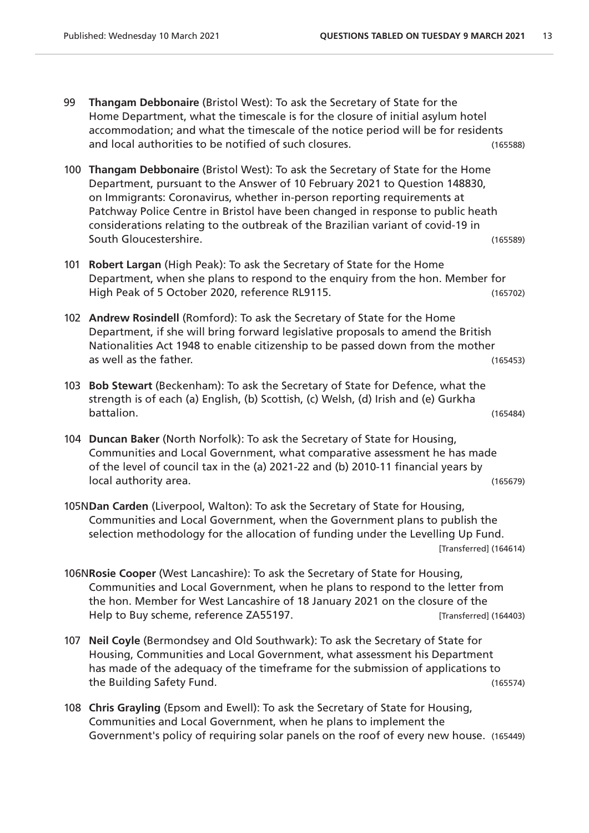- 99 **Thangam Debbonaire** (Bristol West): To ask the Secretary of State for the Home Department, what the timescale is for the closure of initial asylum hotel accommodation; and what the timescale of the notice period will be for residents and local authorities to be notified of such closures. (165588)
- 100 **Thangam Debbonaire** (Bristol West): To ask the Secretary of State for the Home Department, pursuant to the Answer of 10 February 2021 to Question 148830, on Immigrants: Coronavirus, whether in-person reporting requirements at Patchway Police Centre in Bristol have been changed in response to public heath considerations relating to the outbreak of the Brazilian variant of covid-19 in South Gloucestershire. (165589)
- 101 **Robert Largan** (High Peak): To ask the Secretary of State for the Home Department, when she plans to respond to the enquiry from the hon. Member for High Peak of 5 October 2020, reference RL9115. (165702)
- 102 **Andrew Rosindell** (Romford): To ask the Secretary of State for the Home Department, if she will bring forward legislative proposals to amend the British Nationalities Act 1948 to enable citizenship to be passed down from the mother as well as the father. (165453)
- 103 **Bob Stewart** (Beckenham): To ask the Secretary of State for Defence, what the strength is of each (a) English, (b) Scottish, (c) Welsh, (d) Irish and (e) Gurkha battalion. (165484)
- 104 **Duncan Baker** (North Norfolk): To ask the Secretary of State for Housing, Communities and Local Government, what comparative assessment he has made of the level of council tax in the (a) 2021-22 and (b) 2010-11 financial years by local authority area. (165679)
- 105N**Dan Carden** (Liverpool, Walton): To ask the Secretary of State for Housing, Communities and Local Government, when the Government plans to publish the selection methodology for the allocation of funding under the Levelling Up Fund. [Transferred] (164614)
- 106N**Rosie Cooper** (West Lancashire): To ask the Secretary of State for Housing, Communities and Local Government, when he plans to respond to the letter from the hon. Member for West Lancashire of 18 January 2021 on the closure of the Help to Buy scheme, reference ZA55197. The state of the state (164403)
- 107 **Neil Coyle** (Bermondsey and Old Southwark): To ask the Secretary of State for Housing, Communities and Local Government, what assessment his Department has made of the adequacy of the timeframe for the submission of applications to the Building Safety Fund. (165574)
- 108 **Chris Grayling** (Epsom and Ewell): To ask the Secretary of State for Housing, Communities and Local Government, when he plans to implement the Government's policy of requiring solar panels on the roof of every new house. (165449)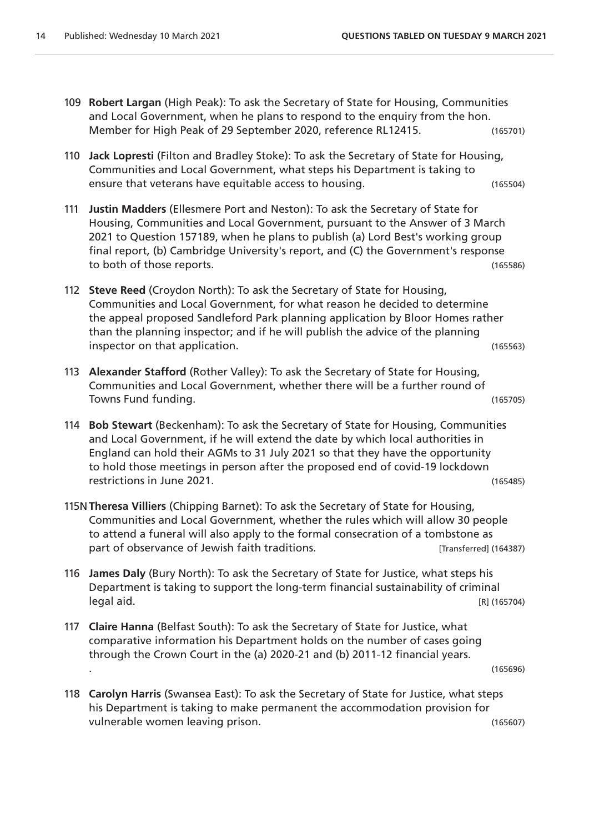- 109 **Robert Largan** (High Peak): To ask the Secretary of State for Housing, Communities and Local Government, when he plans to respond to the enquiry from the hon. Member for High Peak of 29 September 2020, reference RL12415. (165701)
- 110 **Jack Lopresti** (Filton and Bradley Stoke): To ask the Secretary of State for Housing, Communities and Local Government, what steps his Department is taking to ensure that veterans have equitable access to housing. (165504)
- 111 **Justin Madders** (Ellesmere Port and Neston): To ask the Secretary of State for Housing, Communities and Local Government, pursuant to the Answer of 3 March 2021 to Question 157189, when he plans to publish (a) Lord Best's working group final report, (b) Cambridge University's report, and (C) the Government's response to both of those reports. (165586)
- 112 **Steve Reed** (Croydon North): To ask the Secretary of State for Housing, Communities and Local Government, for what reason he decided to determine the appeal proposed Sandleford Park planning application by Bloor Homes rather than the planning inspector; and if he will publish the advice of the planning inspector on that application. (165563)
- 113 **Alexander Stafford** (Rother Valley): To ask the Secretary of State for Housing, Communities and Local Government, whether there will be a further round of Towns Fund funding. (165705)
- 114 **Bob Stewart** (Beckenham): To ask the Secretary of State for Housing, Communities and Local Government, if he will extend the date by which local authorities in England can hold their AGMs to 31 July 2021 so that they have the opportunity to hold those meetings in person after the proposed end of covid-19 lockdown restrictions in June 2021. (165485)
- 115N**Theresa Villiers** (Chipping Barnet): To ask the Secretary of State for Housing, Communities and Local Government, whether the rules which will allow 30 people to attend a funeral will also apply to the formal consecration of a tombstone as part of observance of Jewish faith traditions. [Transferred] (164387)
- 116 **James Daly** (Bury North): To ask the Secretary of State for Justice, what steps his Department is taking to support the long-term financial sustainability of criminal legal aid. [R] (165704)
- 117 **Claire Hanna** (Belfast South): To ask the Secretary of State for Justice, what comparative information his Department holds on the number of cases going through the Crown Court in the (a) 2020-21 and (b) 2011-12 financial years. . (165696)

118 **Carolyn Harris** (Swansea East): To ask the Secretary of State for Justice, what steps his Department is taking to make permanent the accommodation provision for vulnerable women leaving prison. (165607)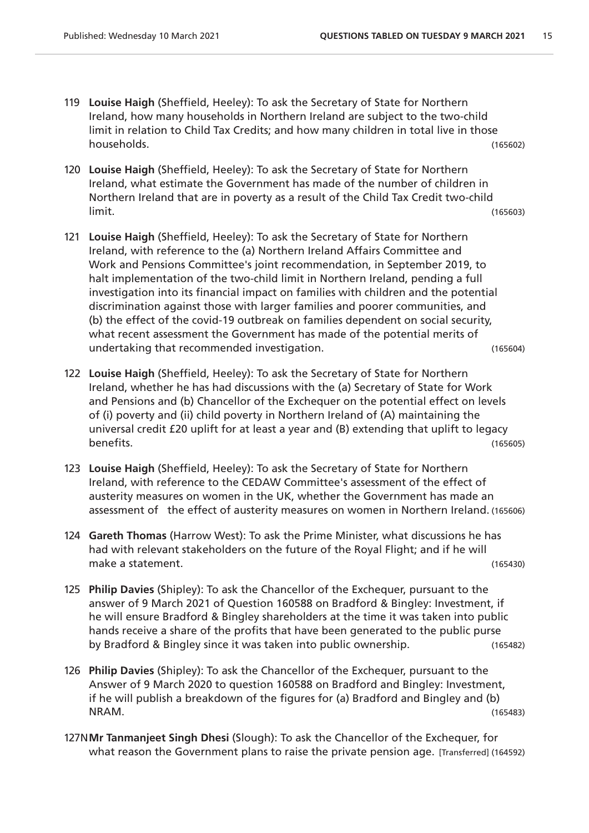- 119 **Louise Haigh** (Sheffield, Heeley): To ask the Secretary of State for Northern Ireland, how many households in Northern Ireland are subject to the two-child limit in relation to Child Tax Credits; and how many children in total live in those households. (165602)
- 120 **Louise Haigh** (Sheffield, Heeley): To ask the Secretary of State for Northern Ireland, what estimate the Government has made of the number of children in Northern Ireland that are in poverty as a result of the Child Tax Credit two-child limit. (165603)
- 121 **Louise Haigh** (Sheffield, Heeley): To ask the Secretary of State for Northern Ireland, with reference to the (a) Northern Ireland Affairs Committee and Work and Pensions Committee's joint recommendation, in September 2019, to halt implementation of the two-child limit in Northern Ireland, pending a full investigation into its financial impact on families with children and the potential discrimination against those with larger families and poorer communities, and (b) the effect of the covid-19 outbreak on families dependent on social security, what recent assessment the Government has made of the potential merits of undertaking that recommended investigation. (165604)
- 122 **Louise Haigh** (Sheffield, Heeley): To ask the Secretary of State for Northern Ireland, whether he has had discussions with the (a) Secretary of State for Work and Pensions and (b) Chancellor of the Exchequer on the potential effect on levels of (i) poverty and (ii) child poverty in Northern Ireland of (A) maintaining the universal credit £20 uplift for at least a year and (B) extending that uplift to legacy benefits. (165605)
- 123 **Louise Haigh** (Sheffield, Heeley): To ask the Secretary of State for Northern Ireland, with reference to the CEDAW Committee's assessment of the effect of austerity measures on women in the UK, whether the Government has made an assessment of the effect of austerity measures on women in Northern Ireland. (165606)
- 124 **Gareth Thomas** (Harrow West): To ask the Prime Minister, what discussions he has had with relevant stakeholders on the future of the Royal Flight; and if he will make a statement. (165430)
- 125 **Philip Davies** (Shipley): To ask the Chancellor of the Exchequer, pursuant to the answer of 9 March 2021 of Question 160588 on Bradford & Bingley: Investment, if he will ensure Bradford & Bingley shareholders at the time it was taken into public hands receive a share of the profits that have been generated to the public purse by Bradford & Bingley since it was taken into public ownership. (165482)
- 126 **Philip Davies** (Shipley): To ask the Chancellor of the Exchequer, pursuant to the Answer of 9 March 2020 to question 160588 on Bradford and Bingley: Investment, if he will publish a breakdown of the figures for (a) Bradford and Bingley and (b) NRAM. (165483)
- 127N**Mr Tanmanjeet Singh Dhesi** (Slough): To ask the Chancellor of the Exchequer, for what reason the Government plans to raise the private pension age. [Transferred] (164592)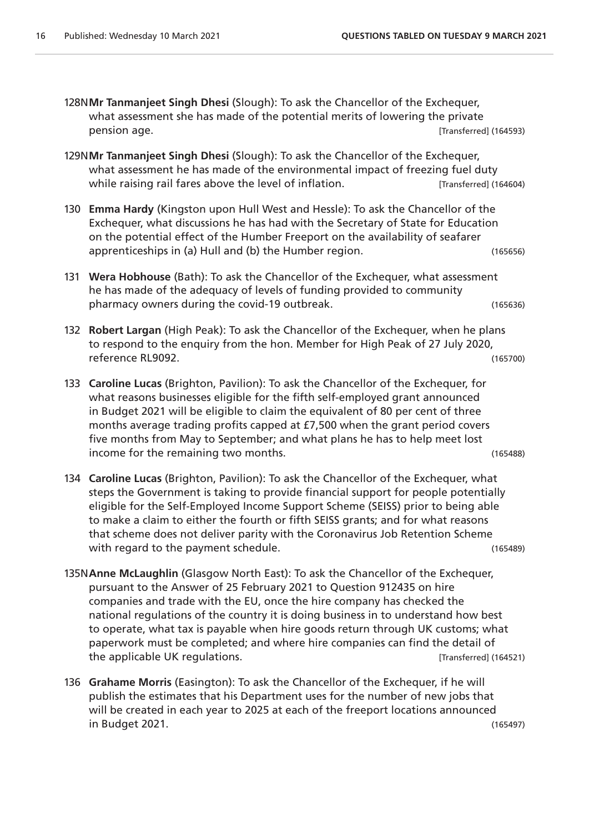- 128N**Mr Tanmanjeet Singh Dhesi** (Slough): To ask the Chancellor of the Exchequer, what assessment she has made of the potential merits of lowering the private pension age. [Transferred] (164593)
- 129N**Mr Tanmanjeet Singh Dhesi** (Slough): To ask the Chancellor of the Exchequer, what assessment he has made of the environmental impact of freezing fuel duty while raising rail fares above the level of inflation. [Transferred] (164604)
- 130 **Emma Hardy** (Kingston upon Hull West and Hessle): To ask the Chancellor of the Exchequer, what discussions he has had with the Secretary of State for Education on the potential effect of the Humber Freeport on the availability of seafarer apprenticeships in (a) Hull and (b) the Humber region. (165656)
- 131 **Wera Hobhouse** (Bath): To ask the Chancellor of the Exchequer, what assessment he has made of the adequacy of levels of funding provided to community pharmacy owners during the covid-19 outbreak. (165636)
- 132 **Robert Largan** (High Peak): To ask the Chancellor of the Exchequer, when he plans to respond to the enquiry from the hon. Member for High Peak of 27 July 2020, reference RL9092. (165700)
- 133 **Caroline Lucas** (Brighton, Pavilion): To ask the Chancellor of the Exchequer, for what reasons businesses eligible for the fifth self-employed grant announced in Budget 2021 will be eligible to claim the equivalent of 80 per cent of three months average trading profits capped at £7,500 when the grant period covers five months from May to September; and what plans he has to help meet lost income for the remaining two months. The same state of the remaining two months.
- 134 **Caroline Lucas** (Brighton, Pavilion): To ask the Chancellor of the Exchequer, what steps the Government is taking to provide financial support for people potentially eligible for the Self-Employed Income Support Scheme (SEISS) prior to being able to make a claim to either the fourth or fifth SEISS grants; and for what reasons that scheme does not deliver parity with the Coronavirus Job Retention Scheme with regard to the payment schedule. The same schedule of the state of the state (165489)
- 135N**Anne McLaughlin** (Glasgow North East): To ask the Chancellor of the Exchequer, pursuant to the Answer of 25 February 2021 to Question 912435 on hire companies and trade with the EU, once the hire company has checked the national regulations of the country it is doing business in to understand how best to operate, what tax is payable when hire goods return through UK customs; what paperwork must be completed; and where hire companies can find the detail of the applicable UK regulations. [Transferred] (164521)
- 136 **Grahame Morris** (Easington): To ask the Chancellor of the Exchequer, if he will publish the estimates that his Department uses for the number of new jobs that will be created in each year to 2025 at each of the freeport locations announced in Budget 2021. (165497)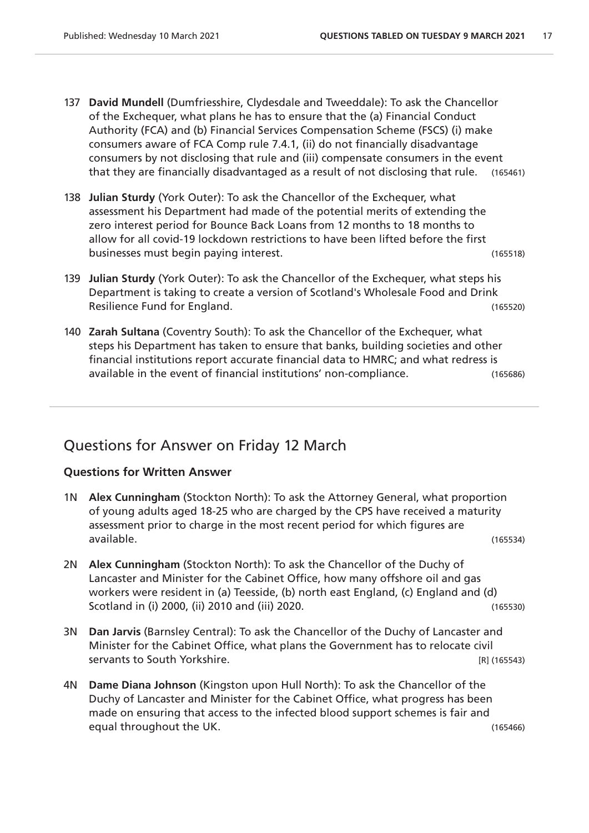- 137 **David Mundell** (Dumfriesshire, Clydesdale and Tweeddale): To ask the Chancellor of the Exchequer, what plans he has to ensure that the (a) Financial Conduct Authority (FCA) and (b) Financial Services Compensation Scheme (FSCS) (i) make consumers aware of FCA Comp rule 7.4.1, (ii) do not financially disadvantage consumers by not disclosing that rule and (iii) compensate consumers in the event that they are financially disadvantaged as a result of not disclosing that rule. (165461)
- 138 **Julian Sturdy** (York Outer): To ask the Chancellor of the Exchequer, what assessment his Department had made of the potential merits of extending the zero interest period for Bounce Back Loans from 12 months to 18 months to allow for all covid-19 lockdown restrictions to have been lifted before the first businesses must begin paying interest. (165518)
- 139 **Julian Sturdy** (York Outer): To ask the Chancellor of the Exchequer, what steps his Department is taking to create a version of Scotland's Wholesale Food and Drink Resilience Fund for England. The same state of the state of the state of the state of the state of the state of the state of the state of the state of the state of the state of the state of the state of the state of the st
- 140 **Zarah Sultana** (Coventry South): To ask the Chancellor of the Exchequer, what steps his Department has taken to ensure that banks, building societies and other financial institutions report accurate financial data to HMRC; and what redress is available in the event of financial institutions' non-compliance. (165686)

### Questions for Answer on Friday 12 March

#### **Questions for Written Answer**

- 1N **Alex Cunningham** (Stockton North): To ask the Attorney General, what proportion of young adults aged 18-25 who are charged by the CPS have received a maturity assessment prior to charge in the most recent period for which figures are available. (165534)
- 2N **Alex Cunningham** (Stockton North): To ask the Chancellor of the Duchy of Lancaster and Minister for the Cabinet Office, how many offshore oil and gas workers were resident in (a) Teesside, (b) north east England, (c) England and (d) Scotland in (i) 2000, (ii) 2010 and (iii) 2020. (165530)
- 3N **Dan Jarvis** (Barnsley Central): To ask the Chancellor of the Duchy of Lancaster and Minister for the Cabinet Office, what plans the Government has to relocate civil servants to South Yorkshire. The serve of the server of the server of the server of the server of the server of the server of the server of the server of the server of the server of the server of the server of the server o
- 4N **Dame Diana Johnson** (Kingston upon Hull North): To ask the Chancellor of the Duchy of Lancaster and Minister for the Cabinet Office, what progress has been made on ensuring that access to the infected blood support schemes is fair and equal throughout the UK. (165466)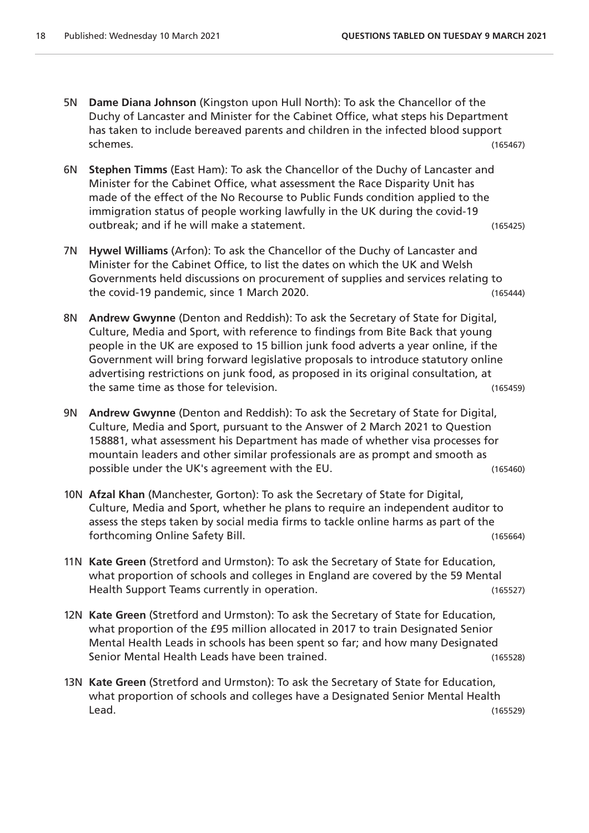- 5N **Dame Diana Johnson** (Kingston upon Hull North): To ask the Chancellor of the Duchy of Lancaster and Minister for the Cabinet Office, what steps his Department has taken to include bereaved parents and children in the infected blood support schemes. (165467)
- 6N **Stephen Timms** (East Ham): To ask the Chancellor of the Duchy of Lancaster and Minister for the Cabinet Office, what assessment the Race Disparity Unit has made of the effect of the No Recourse to Public Funds condition applied to the immigration status of people working lawfully in the UK during the covid-19 outbreak; and if he will make a statement. (165425)
- 7N **Hywel Williams** (Arfon): To ask the Chancellor of the Duchy of Lancaster and Minister for the Cabinet Office, to list the dates on which the UK and Welsh Governments held discussions on procurement of supplies and services relating to the covid-19 pandemic, since 1 March 2020. (165444)
- 8N **Andrew Gwynne** (Denton and Reddish): To ask the Secretary of State for Digital, Culture, Media and Sport, with reference to findings from Bite Back that young people in the UK are exposed to 15 billion junk food adverts a year online, if the Government will bring forward legislative proposals to introduce statutory online advertising restrictions on junk food, as proposed in its original consultation, at the same time as those for television. (165459)
- 9N **Andrew Gwynne** (Denton and Reddish): To ask the Secretary of State for Digital, Culture, Media and Sport, pursuant to the Answer of 2 March 2021 to Question 158881, what assessment his Department has made of whether visa processes for mountain leaders and other similar professionals are as prompt and smooth as possible under the UK's agreement with the EU. (165460)
- 10N **Afzal Khan** (Manchester, Gorton): To ask the Secretary of State for Digital, Culture, Media and Sport, whether he plans to require an independent auditor to assess the steps taken by social media firms to tackle online harms as part of the forthcoming Online Safety Bill. (165664)
- 11N **Kate Green** (Stretford and Urmston): To ask the Secretary of State for Education, what proportion of schools and colleges in England are covered by the 59 Mental Health Support Teams currently in operation. The matrix of the state of the state (165527)
- 12N **Kate Green** (Stretford and Urmston): To ask the Secretary of State for Education, what proportion of the £95 million allocated in 2017 to train Designated Senior Mental Health Leads in schools has been spent so far; and how many Designated Senior Mental Health Leads have been trained. (165528)
- 13N **Kate Green** (Stretford and Urmston): To ask the Secretary of State for Education, what proportion of schools and colleges have a Designated Senior Mental Health Lead. (165529)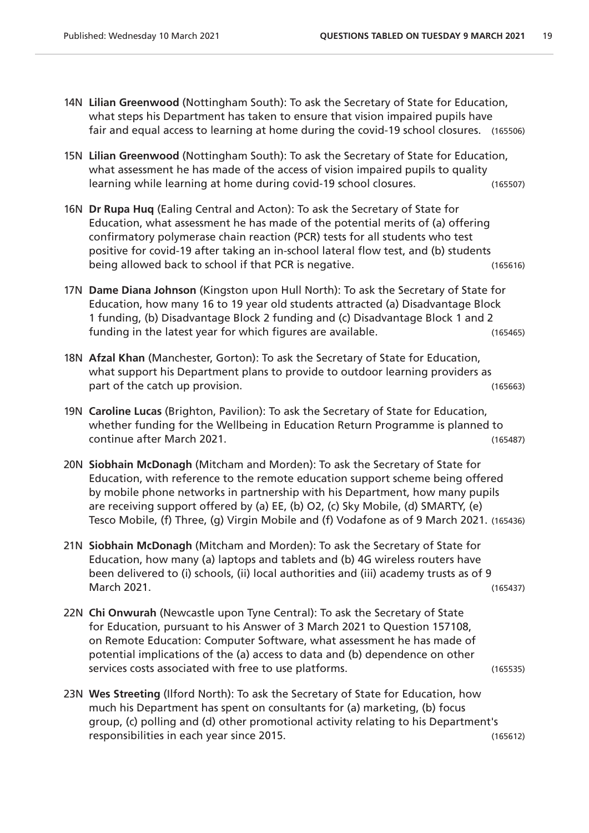- 14N **Lilian Greenwood** (Nottingham South): To ask the Secretary of State for Education, what steps his Department has taken to ensure that vision impaired pupils have fair and equal access to learning at home during the covid-19 school closures. (165506)
- 15N **Lilian Greenwood** (Nottingham South): To ask the Secretary of State for Education, what assessment he has made of the access of vision impaired pupils to quality learning while learning at home during covid-19 school closures. (165507)
- 16N **Dr Rupa Huq** (Ealing Central and Acton): To ask the Secretary of State for Education, what assessment he has made of the potential merits of (a) offering confirmatory polymerase chain reaction (PCR) tests for all students who test positive for covid-19 after taking an in-school lateral flow test, and (b) students being allowed back to school if that PCR is negative. (165616)
- 17N **Dame Diana Johnson** (Kingston upon Hull North): To ask the Secretary of State for Education, how many 16 to 19 year old students attracted (a) Disadvantage Block 1 funding, (b) Disadvantage Block 2 funding and (c) Disadvantage Block 1 and 2 funding in the latest year for which figures are available. (165465)
- 18N **Afzal Khan** (Manchester, Gorton): To ask the Secretary of State for Education, what support his Department plans to provide to outdoor learning providers as part of the catch up provision. (165663)
- 19N **Caroline Lucas** (Brighton, Pavilion): To ask the Secretary of State for Education, whether funding for the Wellbeing in Education Return Programme is planned to continue after March 2021. (165487)
- 20N **Siobhain McDonagh** (Mitcham and Morden): To ask the Secretary of State for Education, with reference to the remote education support scheme being offered by mobile phone networks in partnership with his Department, how many pupils are receiving support offered by (a) EE, (b) O2, (c) Sky Mobile, (d) SMARTY, (e) Tesco Mobile, (f) Three, (g) Virgin Mobile and (f) Vodafone as of 9 March 2021. (165436)
- 21N **Siobhain McDonagh** (Mitcham and Morden): To ask the Secretary of State for Education, how many (a) laptops and tablets and (b) 4G wireless routers have been delivered to (i) schools, (ii) local authorities and (iii) academy trusts as of 9 March 2021. (165437)
- 22N **Chi Onwurah** (Newcastle upon Tyne Central): To ask the Secretary of State for Education, pursuant to his Answer of 3 March 2021 to Question 157108, on Remote Education: Computer Software, what assessment he has made of potential implications of the (a) access to data and (b) dependence on other services costs associated with free to use platforms. (165535)

23N **Wes Streeting** (Ilford North): To ask the Secretary of State for Education, how much his Department has spent on consultants for (a) marketing, (b) focus group, (c) polling and (d) other promotional activity relating to his Department's responsibilities in each year since 2015. (165612)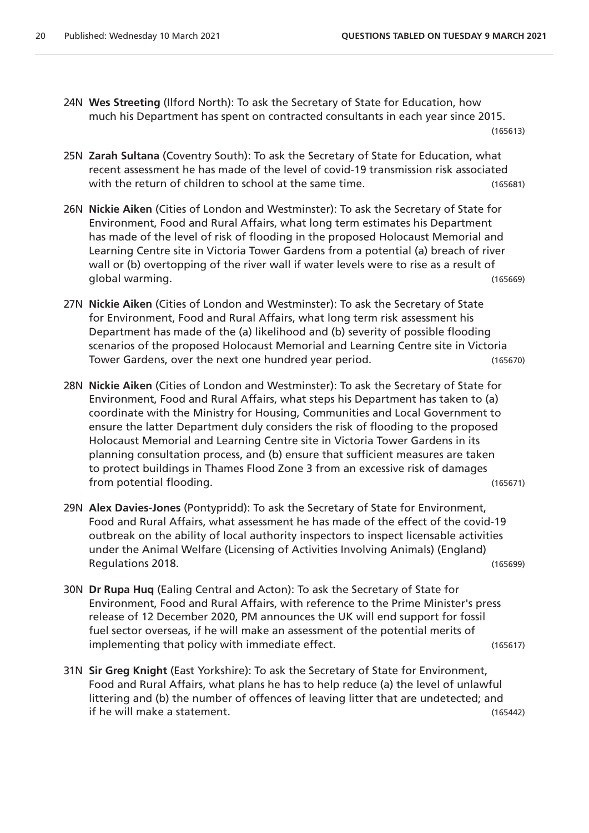- 24N **Wes Streeting** (Ilford North): To ask the Secretary of State for Education, how much his Department has spent on contracted consultants in each year since 2015. (165613)
- 25N **Zarah Sultana** (Coventry South): To ask the Secretary of State for Education, what recent assessment he has made of the level of covid-19 transmission risk associated with the return of children to school at the same time. (165681)
- 26N **Nickie Aiken** (Cities of London and Westminster): To ask the Secretary of State for Environment, Food and Rural Affairs, what long term estimates his Department has made of the level of risk of flooding in the proposed Holocaust Memorial and Learning Centre site in Victoria Tower Gardens from a potential (a) breach of river wall or (b) overtopping of the river wall if water levels were to rise as a result of global warming. (165669)
- 27N **Nickie Aiken** (Cities of London and Westminster): To ask the Secretary of State for Environment, Food and Rural Affairs, what long term risk assessment his Department has made of the (a) likelihood and (b) severity of possible flooding scenarios of the proposed Holocaust Memorial and Learning Centre site in Victoria Tower Gardens, over the next one hundred year period. (165670)
- 28N **Nickie Aiken** (Cities of London and Westminster): To ask the Secretary of State for Environment, Food and Rural Affairs, what steps his Department has taken to (a) coordinate with the Ministry for Housing, Communities and Local Government to ensure the latter Department duly considers the risk of flooding to the proposed Holocaust Memorial and Learning Centre site in Victoria Tower Gardens in its planning consultation process, and (b) ensure that sufficient measures are taken to protect buildings in Thames Flood Zone 3 from an excessive risk of damages from potential flooding. The same state of the state of the state of the state (165671)
- 29N **Alex Davies-Jones** (Pontypridd): To ask the Secretary of State for Environment, Food and Rural Affairs, what assessment he has made of the effect of the covid-19 outbreak on the ability of local authority inspectors to inspect licensable activities under the Animal Welfare (Licensing of Activities Involving Animals) (England) Regulations 2018. (165699)
- 30N **Dr Rupa Huq** (Ealing Central and Acton): To ask the Secretary of State for Environment, Food and Rural Affairs, with reference to the Prime Minister's press release of 12 December 2020, PM announces the UK will end support for fossil fuel sector overseas, if he will make an assessment of the potential merits of implementing that policy with immediate effect. (165617)
- 31N **Sir Greg Knight** (East Yorkshire): To ask the Secretary of State for Environment, Food and Rural Affairs, what plans he has to help reduce (a) the level of unlawful littering and (b) the number of offences of leaving litter that are undetected; and if he will make a statement. (165442)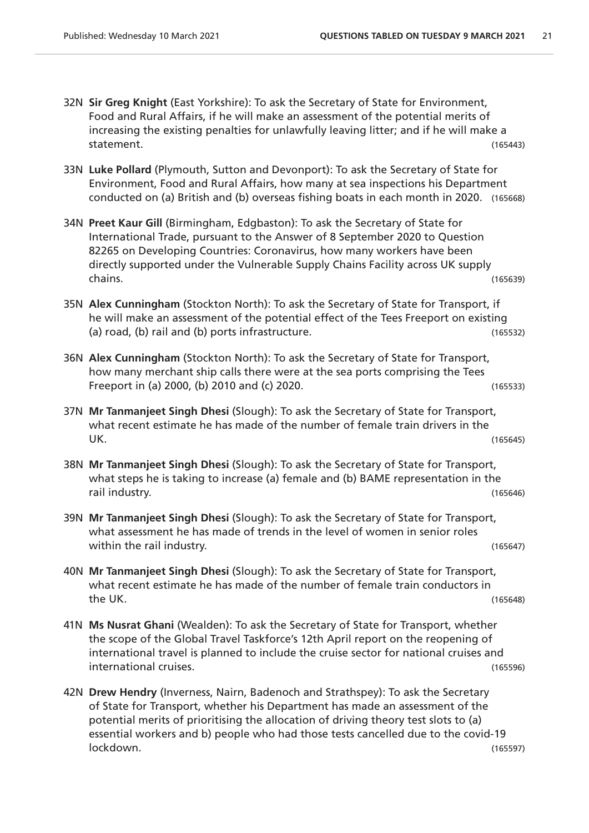- 32N **Sir Greg Knight** (East Yorkshire): To ask the Secretary of State for Environment, Food and Rural Affairs, if he will make an assessment of the potential merits of increasing the existing penalties for unlawfully leaving litter; and if he will make a statement. (165443)
- 33N **Luke Pollard** (Plymouth, Sutton and Devonport): To ask the Secretary of State for Environment, Food and Rural Affairs, how many at sea inspections his Department conducted on (a) British and (b) overseas fishing boats in each month in 2020. (165668)
- 34N **Preet Kaur Gill** (Birmingham, Edgbaston): To ask the Secretary of State for International Trade, pursuant to the Answer of 8 September 2020 to Question 82265 on Developing Countries: Coronavirus, how many workers have been directly supported under the Vulnerable Supply Chains Facility across UK supply chains. (165639)
- 35N **Alex Cunningham** (Stockton North): To ask the Secretary of State for Transport, if he will make an assessment of the potential effect of the Tees Freeport on existing (a) road, (b) rail and (b) ports infrastructure. (165532)
- 36N **Alex Cunningham** (Stockton North): To ask the Secretary of State for Transport, how many merchant ship calls there were at the sea ports comprising the Tees Freeport in (a) 2000, (b) 2010 and (c) 2020. (165533)
- 37N **Mr Tanmanjeet Singh Dhesi** (Slough): To ask the Secretary of State for Transport, what recent estimate he has made of the number of female train drivers in the UK. (165645)
- 38N **Mr Tanmanjeet Singh Dhesi** (Slough): To ask the Secretary of State for Transport, what steps he is taking to increase (a) female and (b) BAME representation in the rail industry. (165646)
- 39N **Mr Tanmanjeet Singh Dhesi** (Slough): To ask the Secretary of State for Transport, what assessment he has made of trends in the level of women in senior roles within the rail industry. The ration of the rail industry. The rational contract of the rational contract of the rational contract of the rational contract of the rational contract of the rational contract of the rational
- 40N **Mr Tanmanjeet Singh Dhesi** (Slough): To ask the Secretary of State for Transport, what recent estimate he has made of the number of female train conductors in the UK. (165648)
- 41N **Ms Nusrat Ghani** (Wealden): To ask the Secretary of State for Transport, whether the scope of the Global Travel Taskforce's 12th April report on the reopening of international travel is planned to include the cruise sector for national cruises and international cruises. (165596)
- 42N **Drew Hendry** (Inverness, Nairn, Badenoch and Strathspey): To ask the Secretary of State for Transport, whether his Department has made an assessment of the potential merits of prioritising the allocation of driving theory test slots to (a) essential workers and b) people who had those tests cancelled due to the covid-19 lockdown. (165597)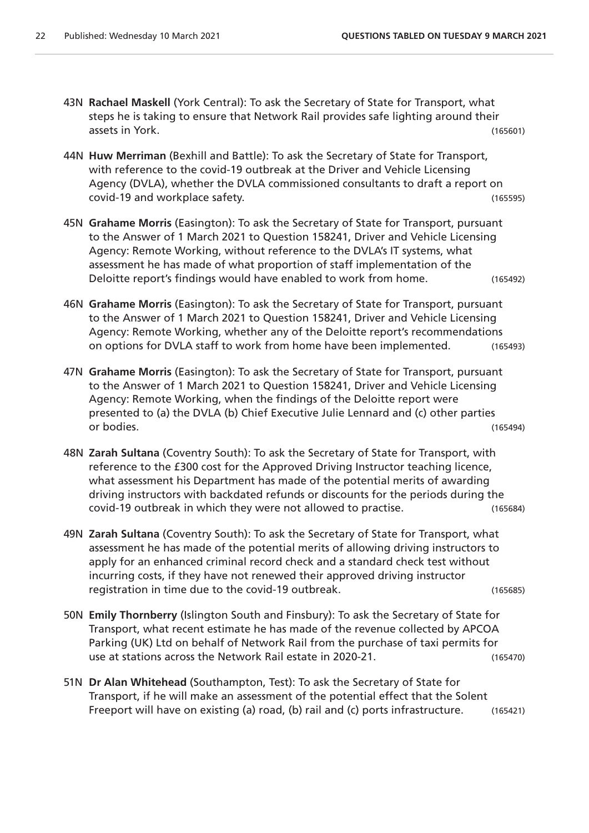- 43N **Rachael Maskell** (York Central): To ask the Secretary of State for Transport, what steps he is taking to ensure that Network Rail provides safe lighting around their assets in York. (165601)
- 44N **Huw Merriman** (Bexhill and Battle): To ask the Secretary of State for Transport, with reference to the covid-19 outbreak at the Driver and Vehicle Licensing Agency (DVLA), whether the DVLA commissioned consultants to draft a report on covid-19 and workplace safety. (165595)
- 45N **Grahame Morris** (Easington): To ask the Secretary of State for Transport, pursuant to the Answer of 1 March 2021 to Question 158241, Driver and Vehicle Licensing Agency: Remote Working, without reference to the DVLA's IT systems, what assessment he has made of what proportion of staff implementation of the Deloitte report's findings would have enabled to work from home. (165492)
- 46N **Grahame Morris** (Easington): To ask the Secretary of State for Transport, pursuant to the Answer of 1 March 2021 to Question 158241, Driver and Vehicle Licensing Agency: Remote Working, whether any of the Deloitte report's recommendations on options for DVLA staff to work from home have been implemented. (165493)
- 47N **Grahame Morris** (Easington): To ask the Secretary of State for Transport, pursuant to the Answer of 1 March 2021 to Question 158241, Driver and Vehicle Licensing Agency: Remote Working, when the findings of the Deloitte report were presented to (a) the DVLA (b) Chief Executive Julie Lennard and (c) other parties or bodies. (165494)
- 48N **Zarah Sultana** (Coventry South): To ask the Secretary of State for Transport, with reference to the £300 cost for the Approved Driving Instructor teaching licence, what assessment his Department has made of the potential merits of awarding driving instructors with backdated refunds or discounts for the periods during the covid-19 outbreak in which they were not allowed to practise. (165684)
- 49N **Zarah Sultana** (Coventry South): To ask the Secretary of State for Transport, what assessment he has made of the potential merits of allowing driving instructors to apply for an enhanced criminal record check and a standard check test without incurring costs, if they have not renewed their approved driving instructor registration in time due to the covid-19 outbreak. (165685)
- 50N **Emily Thornberry** (Islington South and Finsbury): To ask the Secretary of State for Transport, what recent estimate he has made of the revenue collected by APCOA Parking (UK) Ltd on behalf of Network Rail from the purchase of taxi permits for use at stations across the Network Rail estate in 2020-21. (165470)
- 51N **Dr Alan Whitehead** (Southampton, Test): To ask the Secretary of State for Transport, if he will make an assessment of the potential effect that the Solent Freeport will have on existing (a) road, (b) rail and (c) ports infrastructure. (165421)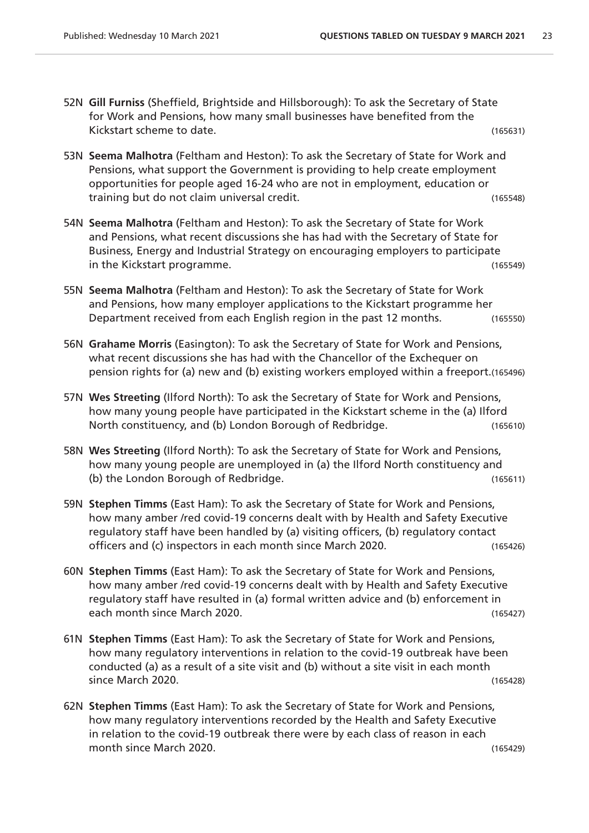- 52N **Gill Furniss** (Sheffield, Brightside and Hillsborough): To ask the Secretary of State for Work and Pensions, how many small businesses have benefited from the Kickstart scheme to date. (165631)
- 53N **Seema Malhotra** (Feltham and Heston): To ask the Secretary of State for Work and Pensions, what support the Government is providing to help create employment opportunities for people aged 16-24 who are not in employment, education or training but do not claim universal credit. (165548)
- 54N **Seema Malhotra** (Feltham and Heston): To ask the Secretary of State for Work and Pensions, what recent discussions she has had with the Secretary of State for Business, Energy and Industrial Strategy on encouraging employers to participate in the Kickstart programme. (165549)
- 55N **Seema Malhotra** (Feltham and Heston): To ask the Secretary of State for Work and Pensions, how many employer applications to the Kickstart programme her Department received from each English region in the past 12 months. (165550)
- 56N **Grahame Morris** (Easington): To ask the Secretary of State for Work and Pensions, what recent discussions she has had with the Chancellor of the Exchequer on pension rights for (a) new and (b) existing workers employed within a freeport.(165496)
- 57N **Wes Streeting** (Ilford North): To ask the Secretary of State for Work and Pensions, how many young people have participated in the Kickstart scheme in the (a) Ilford North constituency, and (b) London Borough of Redbridge. (165610)
- 58N **Wes Streeting** (Ilford North): To ask the Secretary of State for Work and Pensions, how many young people are unemployed in (a) the Ilford North constituency and (b) the London Borough of Redbridge. (165611)
- 59N **Stephen Timms** (East Ham): To ask the Secretary of State for Work and Pensions, how many amber /red covid-19 concerns dealt with by Health and Safety Executive regulatory staff have been handled by (a) visiting officers, (b) regulatory contact officers and (c) inspectors in each month since March 2020. (165426)
- 60N **Stephen Timms** (East Ham): To ask the Secretary of State for Work and Pensions, how many amber /red covid-19 concerns dealt with by Health and Safety Executive regulatory staff have resulted in (a) formal written advice and (b) enforcement in each month since March 2020. (165427)
- 61N **Stephen Timms** (East Ham): To ask the Secretary of State for Work and Pensions, how many regulatory interventions in relation to the covid-19 outbreak have been conducted (a) as a result of a site visit and (b) without a site visit in each month since March 2020. (165428)
- 62N **Stephen Timms** (East Ham): To ask the Secretary of State for Work and Pensions, how many regulatory interventions recorded by the Health and Safety Executive in relation to the covid-19 outbreak there were by each class of reason in each month since March 2020. (165429)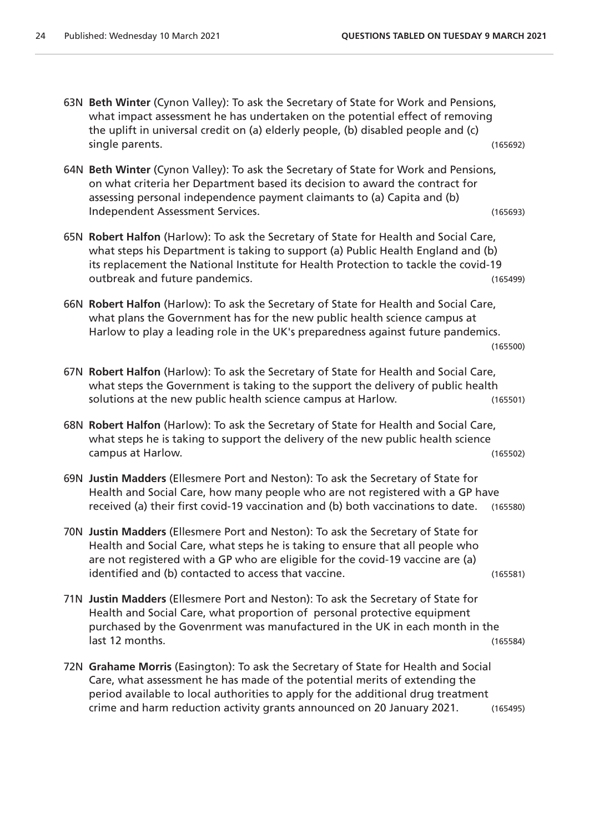63N **Beth Winter** (Cynon Valley): To ask the Secretary of State for Work and Pensions, what impact assessment he has undertaken on the potential effect of removing the uplift in universal credit on (a) elderly people, (b) disabled people and (c) single parents. (165692) 64N **Beth Winter** (Cynon Valley): To ask the Secretary of State for Work and Pensions, on what criteria her Department based its decision to award the contract for assessing personal independence payment claimants to (a) Capita and (b) Independent Assessment Services. (165693) 65N **Robert Halfon** (Harlow): To ask the Secretary of State for Health and Social Care, what steps his Department is taking to support (a) Public Health England and (b) its replacement the National Institute for Health Protection to tackle the covid-19 outbreak and future pandemics. (165499) 66N **Robert Halfon** (Harlow): To ask the Secretary of State for Health and Social Care, what plans the Government has for the new public health science campus at Harlow to play a leading role in the UK's preparedness against future pandemics. (165500) 67N **Robert Halfon** (Harlow): To ask the Secretary of State for Health and Social Care, what steps the Government is taking to the support the delivery of public health solutions at the new public health science campus at Harlow. (165501) 68N **Robert Halfon** (Harlow): To ask the Secretary of State for Health and Social Care, what steps he is taking to support the delivery of the new public health science campus at Harlow. (165502) 69N **Justin Madders** (Ellesmere Port and Neston): To ask the Secretary of State for Health and Social Care, how many people who are not registered with a GP have received (a) their first covid-19 vaccination and (b) both vaccinations to date. (165580) 70N **Justin Madders** (Ellesmere Port and Neston): To ask the Secretary of State for Health and Social Care, what steps he is taking to ensure that all people who are not registered with a GP who are eligible for the covid-19 vaccine are (a) identified and (b) contacted to access that vaccine. (165581) 71N **Justin Madders** (Ellesmere Port and Neston): To ask the Secretary of State for Health and Social Care, what proportion of personal protective equipment purchased by the Govenrment was manufactured in the UK in each month in the last 12 months. (165584) 72N **Grahame Morris** (Easington): To ask the Secretary of State for Health and Social Care, what assessment he has made of the potential merits of extending the period available to local authorities to apply for the additional drug treatment

crime and harm reduction activity grants announced on 20 January 2021. (165495)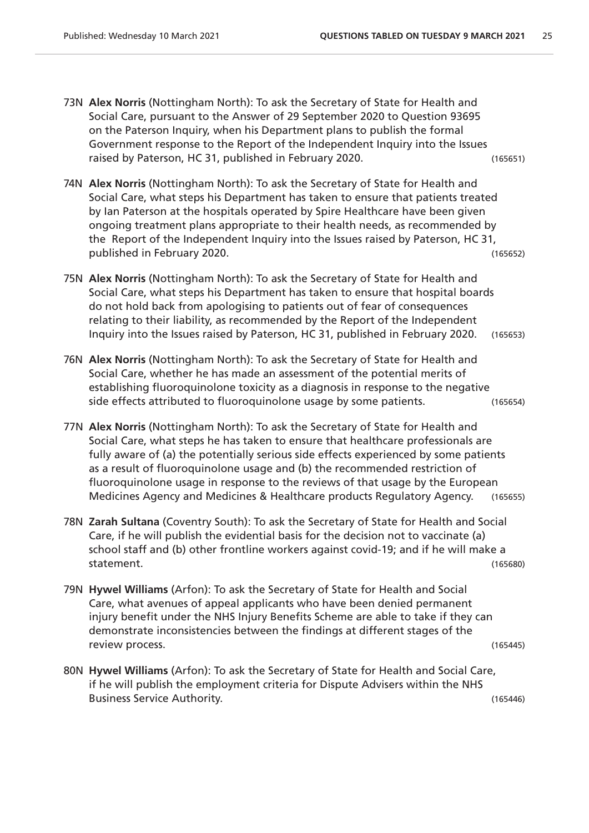- 73N **Alex Norris** (Nottingham North): To ask the Secretary of State for Health and Social Care, pursuant to the Answer of 29 September 2020 to Question 93695 on the Paterson Inquiry, when his Department plans to publish the formal Government response to the Report of the Independent Inquiry into the Issues raised by Paterson, HC 31, published in February 2020. (165651)
- 74N **Alex Norris** (Nottingham North): To ask the Secretary of State for Health and Social Care, what steps his Department has taken to ensure that patients treated by Ian Paterson at the hospitals operated by Spire Healthcare have been given ongoing treatment plans appropriate to their health needs, as recommended by the Report of the Independent Inquiry into the Issues raised by Paterson, HC 31, published in February 2020. (165652)
- 75N **Alex Norris** (Nottingham North): To ask the Secretary of State for Health and Social Care, what steps his Department has taken to ensure that hospital boards do not hold back from apologising to patients out of fear of consequences relating to their liability, as recommended by the Report of the Independent Inquiry into the Issues raised by Paterson, HC 31, published in February 2020. (165653)
- 76N **Alex Norris** (Nottingham North): To ask the Secretary of State for Health and Social Care, whether he has made an assessment of the potential merits of establishing fluoroquinolone toxicity as a diagnosis in response to the negative side effects attributed to fluoroquinolone usage by some patients. (165654)
- 77N **Alex Norris** (Nottingham North): To ask the Secretary of State for Health and Social Care, what steps he has taken to ensure that healthcare professionals are fully aware of (a) the potentially serious side effects experienced by some patients as a result of fluoroquinolone usage and (b) the recommended restriction of fluoroquinolone usage in response to the reviews of that usage by the European Medicines Agency and Medicines & Healthcare products Regulatory Agency. (165655)
- 78N **Zarah Sultana** (Coventry South): To ask the Secretary of State for Health and Social Care, if he will publish the evidential basis for the decision not to vaccinate (a) school staff and (b) other frontline workers against covid-19; and if he will make a statement. (165680)
- 79N **Hywel Williams** (Arfon): To ask the Secretary of State for Health and Social Care, what avenues of appeal applicants who have been denied permanent injury benefit under the NHS Injury Benefits Scheme are able to take if they can demonstrate inconsistencies between the findings at different stages of the review process. (165445)
- 80N **Hywel Williams** (Arfon): To ask the Secretary of State for Health and Social Care, if he will publish the employment criteria for Dispute Advisers within the NHS Business Service Authority. (165446)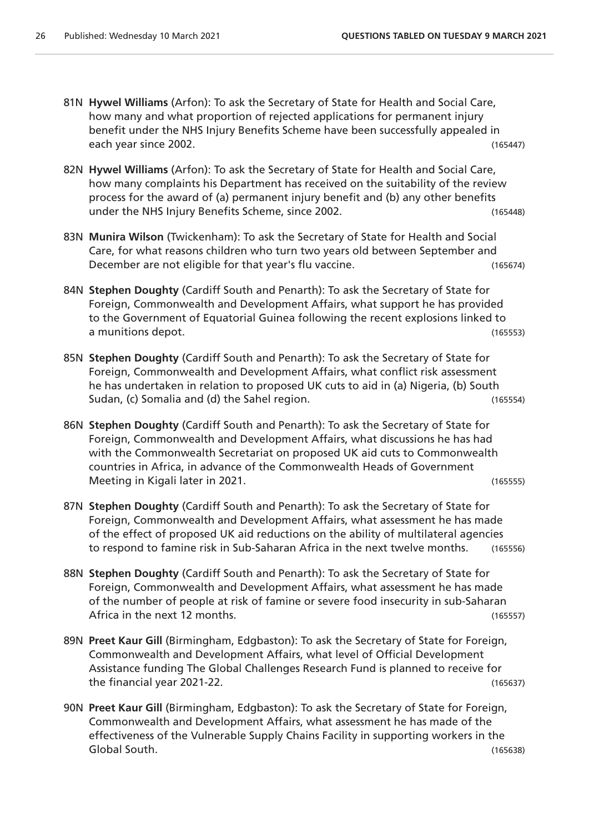- 81N **Hywel Williams** (Arfon): To ask the Secretary of State for Health and Social Care, how many and what proportion of rejected applications for permanent injury benefit under the NHS Injury Benefits Scheme have been successfully appealed in each year since 2002. (165447)
- 82N **Hywel Williams** (Arfon): To ask the Secretary of State for Health and Social Care, how many complaints his Department has received on the suitability of the review process for the award of (a) permanent injury benefit and (b) any other benefits under the NHS Injury Benefits Scheme, since 2002. (165448)
- 83N **Munira Wilson** (Twickenham): To ask the Secretary of State for Health and Social Care, for what reasons children who turn two years old between September and December are not eligible for that year's flu vaccine. The manner of the set of the set of the set of the set o
- 84N **Stephen Doughty** (Cardiff South and Penarth): To ask the Secretary of State for Foreign, Commonwealth and Development Affairs, what support he has provided to the Government of Equatorial Guinea following the recent explosions linked to a munitions depot. (165553)
- 85N **Stephen Doughty** (Cardiff South and Penarth): To ask the Secretary of State for Foreign, Commonwealth and Development Affairs, what conflict risk assessment he has undertaken in relation to proposed UK cuts to aid in (a) Nigeria, (b) South Sudan, (c) Somalia and (d) the Sahel region. The Same state of the Sudan, (165554)
- 86N **Stephen Doughty** (Cardiff South and Penarth): To ask the Secretary of State for Foreign, Commonwealth and Development Affairs, what discussions he has had with the Commonwealth Secretariat on proposed UK aid cuts to Commonwealth countries in Africa, in advance of the Commonwealth Heads of Government Meeting in Kigali later in 2021.
- 87N **Stephen Doughty** (Cardiff South and Penarth): To ask the Secretary of State for Foreign, Commonwealth and Development Affairs, what assessment he has made of the effect of proposed UK aid reductions on the ability of multilateral agencies to respond to famine risk in Sub-Saharan Africa in the next twelve months. (165556)
- 88N **Stephen Doughty** (Cardiff South and Penarth): To ask the Secretary of State for Foreign, Commonwealth and Development Affairs, what assessment he has made of the number of people at risk of famine or severe food insecurity in sub-Saharan Africa in the next 12 months. (165557)
- 89N **Preet Kaur Gill** (Birmingham, Edgbaston): To ask the Secretary of State for Foreign, Commonwealth and Development Affairs, what level of Official Development Assistance funding The Global Challenges Research Fund is planned to receive for the financial year 2021-22. (165637)
- 90N **Preet Kaur Gill** (Birmingham, Edgbaston): To ask the Secretary of State for Foreign, Commonwealth and Development Affairs, what assessment he has made of the effectiveness of the Vulnerable Supply Chains Facility in supporting workers in the Global South. (165638)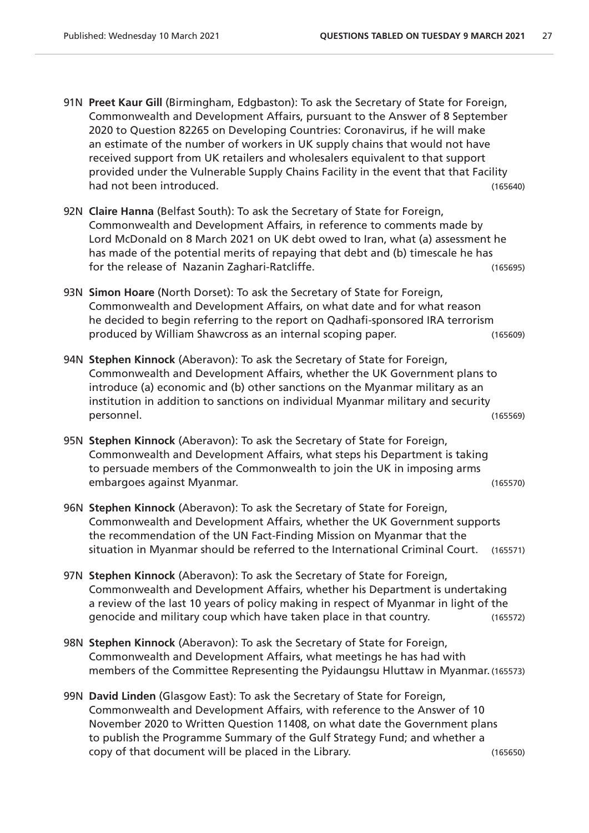- 91N **Preet Kaur Gill** (Birmingham, Edgbaston): To ask the Secretary of State for Foreign, Commonwealth and Development Affairs, pursuant to the Answer of 8 September 2020 to Question 82265 on Developing Countries: Coronavirus, if he will make an estimate of the number of workers in UK supply chains that would not have received support from UK retailers and wholesalers equivalent to that support provided under the Vulnerable Supply Chains Facility in the event that that Facility had not been introduced. (165640)
- 92N **Claire Hanna** (Belfast South): To ask the Secretary of State for Foreign, Commonwealth and Development Affairs, in reference to comments made by Lord McDonald on 8 March 2021 on UK debt owed to Iran, what (a) assessment he has made of the potential merits of repaying that debt and (b) timescale he has for the release of Nazanin Zaghari-Ratcliffe. (165695)
- 93N **Simon Hoare** (North Dorset): To ask the Secretary of State for Foreign, Commonwealth and Development Affairs, on what date and for what reason he decided to begin referring to the report on Qadhafi-sponsored IRA terrorism produced by William Shawcross as an internal scoping paper. (165609)
- 94N **Stephen Kinnock** (Aberavon): To ask the Secretary of State for Foreign, Commonwealth and Development Affairs, whether the UK Government plans to introduce (a) economic and (b) other sanctions on the Myanmar military as an institution in addition to sanctions on individual Myanmar military and security personnel. (165569)
- 95N **Stephen Kinnock** (Aberavon): To ask the Secretary of State for Foreign, Commonwealth and Development Affairs, what steps his Department is taking to persuade members of the Commonwealth to join the UK in imposing arms embargoes against Myanmar. (165570)
- 96N **Stephen Kinnock** (Aberavon): To ask the Secretary of State for Foreign, Commonwealth and Development Affairs, whether the UK Government supports the recommendation of the UN Fact-Finding Mission on Myanmar that the situation in Myanmar should be referred to the International Criminal Court. (165571)
- 97N **Stephen Kinnock** (Aberavon): To ask the Secretary of State for Foreign, Commonwealth and Development Affairs, whether his Department is undertaking a review of the last 10 years of policy making in respect of Myanmar in light of the genocide and military coup which have taken place in that country. (165572)
- 98N **Stephen Kinnock** (Aberavon): To ask the Secretary of State for Foreign, Commonwealth and Development Affairs, what meetings he has had with members of the Committee Representing the Pyidaungsu Hluttaw in Myanmar. (165573)
- 99N **David Linden** (Glasgow East): To ask the Secretary of State for Foreign, Commonwealth and Development Affairs, with reference to the Answer of 10 November 2020 to Written Question 11408, on what date the Government plans to publish the Programme Summary of the Gulf Strategy Fund; and whether a copy of that document will be placed in the Library. (165650)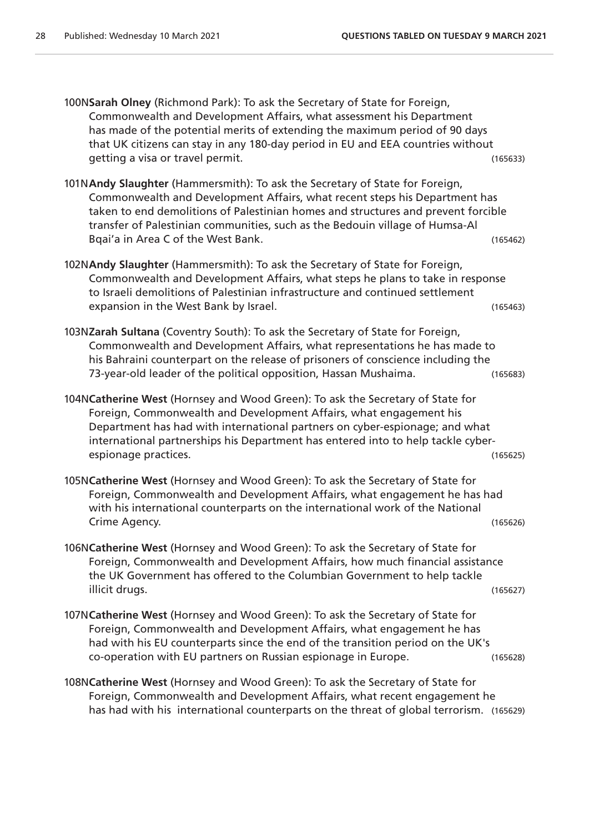100N**Sarah Olney** (Richmond Park): To ask the Secretary of State for Foreign, Commonwealth and Development Affairs, what assessment his Department has made of the potential merits of extending the maximum period of 90 days that UK citizens can stay in any 180-day period in EU and EEA countries without getting a visa or travel permit. (165633)

- 101N**Andy Slaughter** (Hammersmith): To ask the Secretary of State for Foreign, Commonwealth and Development Affairs, what recent steps his Department has taken to end demolitions of Palestinian homes and structures and prevent forcible transfer of Palestinian communities, such as the Bedouin village of Humsa-Al Bqai'a in Area C of the West Bank. (165462)
- 102N**Andy Slaughter** (Hammersmith): To ask the Secretary of State for Foreign, Commonwealth and Development Affairs, what steps he plans to take in response to Israeli demolitions of Palestinian infrastructure and continued settlement expansion in the West Bank by Israel. (165463)
- 103N**Zarah Sultana** (Coventry South): To ask the Secretary of State for Foreign, Commonwealth and Development Affairs, what representations he has made to his Bahraini counterpart on the release of prisoners of conscience including the 73-year-old leader of the political opposition, Hassan Mushaima. (165683)
- 104N**Catherine West** (Hornsey and Wood Green): To ask the Secretary of State for Foreign, Commonwealth and Development Affairs, what engagement his Department has had with international partners on cyber-espionage; and what international partnerships his Department has entered into to help tackle cyberespionage practices. (165625)
- 105N**Catherine West** (Hornsey and Wood Green): To ask the Secretary of State for Foreign, Commonwealth and Development Affairs, what engagement he has had with his international counterparts on the international work of the National Crime Agency. (165626)
- 106N**Catherine West** (Hornsey and Wood Green): To ask the Secretary of State for Foreign, Commonwealth and Development Affairs, how much financial assistance the UK Government has offered to the Columbian Government to help tackle illicit drugs. (165627)
- 107N**Catherine West** (Hornsey and Wood Green): To ask the Secretary of State for Foreign, Commonwealth and Development Affairs, what engagement he has had with his EU counterparts since the end of the transition period on the UK's co-operation with EU partners on Russian espionage in Europe. (165628)
- 108N**Catherine West** (Hornsey and Wood Green): To ask the Secretary of State for Foreign, Commonwealth and Development Affairs, what recent engagement he has had with his international counterparts on the threat of global terrorism. (165629)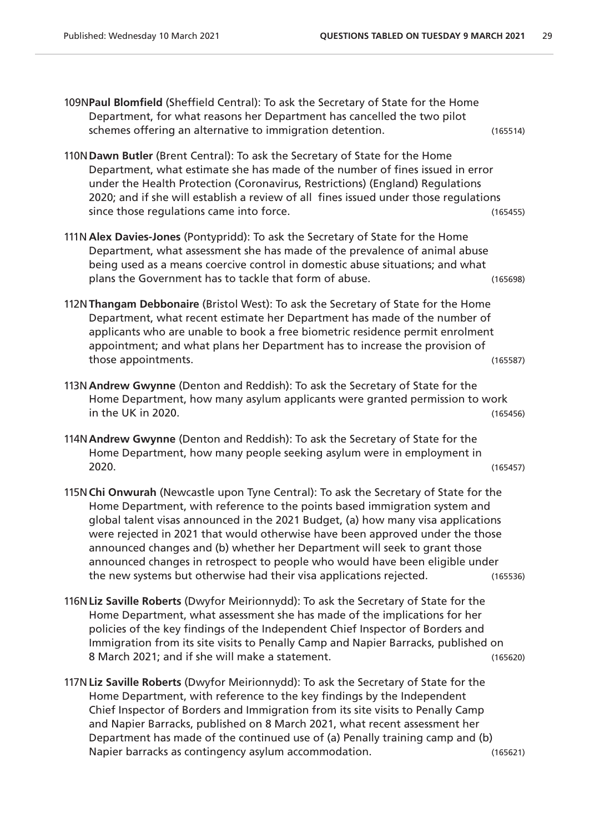109N**Paul Blomfield** (Sheffield Central): To ask the Secretary of State for the Home Department, for what reasons her Department has cancelled the two pilot schemes offering an alternative to immigration detention. (165514)

110N**Dawn Butler** (Brent Central): To ask the Secretary of State for the Home Department, what estimate she has made of the number of fines issued in error under the Health Protection (Coronavirus, Restrictions) (England) Regulations 2020; and if she will establish a review of all fines issued under those regulations since those regulations came into force.  $(165455)$ 

- 111N **Alex Davies-Jones** (Pontypridd): To ask the Secretary of State for the Home Department, what assessment she has made of the prevalence of animal abuse being used as a means coercive control in domestic abuse situations; and what plans the Government has to tackle that form of abuse. (165698)
- 112N**Thangam Debbonaire** (Bristol West): To ask the Secretary of State for the Home Department, what recent estimate her Department has made of the number of applicants who are unable to book a free biometric residence permit enrolment appointment; and what plans her Department has to increase the provision of those appointments. (165587)
- 113N**Andrew Gwynne** (Denton and Reddish): To ask the Secretary of State for the Home Department, how many asylum applicants were granted permission to work in the UK in 2020. (165456)
- 114N**Andrew Gwynne** (Denton and Reddish): To ask the Secretary of State for the Home Department, how many people seeking asylum were in employment in 2020. (165457)
- 115N**Chi Onwurah** (Newcastle upon Tyne Central): To ask the Secretary of State for the Home Department, with reference to the points based immigration system and global talent visas announced in the 2021 Budget, (a) how many visa applications were rejected in 2021 that would otherwise have been approved under the those announced changes and (b) whether her Department will seek to grant those announced changes in retrospect to people who would have been eligible under the new systems but otherwise had their visa applications rejected. (165536)
- 116N**Liz Saville Roberts** (Dwyfor Meirionnydd): To ask the Secretary of State for the Home Department, what assessment she has made of the implications for her policies of the key findings of the Independent Chief Inspector of Borders and Immigration from its site visits to Penally Camp and Napier Barracks, published on 8 March 2021; and if she will make a statement. (165620)
- 117N**Liz Saville Roberts** (Dwyfor Meirionnydd): To ask the Secretary of State for the Home Department, with reference to the key findings by the Independent Chief Inspector of Borders and Immigration from its site visits to Penally Camp and Napier Barracks, published on 8 March 2021, what recent assessment her Department has made of the continued use of (a) Penally training camp and (b) Napier barracks as contingency asylum accommodation. (165621)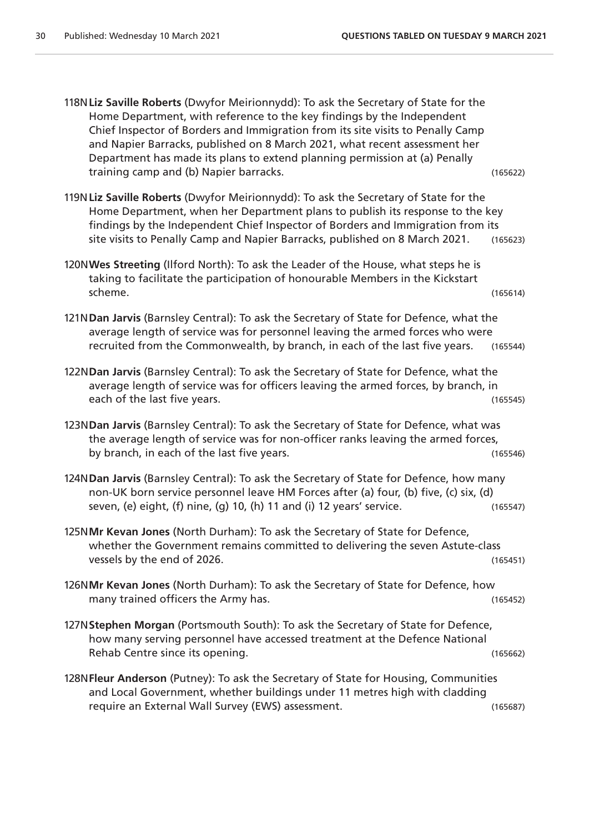118N**Liz Saville Roberts** (Dwyfor Meirionnydd): To ask the Secretary of State for the Home Department, with reference to the key findings by the Independent Chief Inspector of Borders and Immigration from its site visits to Penally Camp and Napier Barracks, published on 8 March 2021, what recent assessment her Department has made its plans to extend planning permission at (a) Penally training camp and (b) Napier barracks. (165622) 119N**Liz Saville Roberts** (Dwyfor Meirionnydd): To ask the Secretary of State for the Home Department, when her Department plans to publish its response to the key findings by the Independent Chief Inspector of Borders and Immigration from its site visits to Penally Camp and Napier Barracks, published on 8 March 2021. (165623) 120N**Wes Streeting** (Ilford North): To ask the Leader of the House, what steps he is taking to facilitate the participation of honourable Members in the Kickstart scheme. (165614) 121N**Dan Jarvis** (Barnsley Central): To ask the Secretary of State for Defence, what the average length of service was for personnel leaving the armed forces who were recruited from the Commonwealth, by branch, in each of the last five years. (165544) 122N**Dan Jarvis** (Barnsley Central): To ask the Secretary of State for Defence, what the average length of service was for officers leaving the armed forces, by branch, in each of the last five years. (165545) 123N**Dan Jarvis** (Barnsley Central): To ask the Secretary of State for Defence, what was the average length of service was for non-officer ranks leaving the armed forces, by branch, in each of the last five years. The same state of the state (165546) 124N**Dan Jarvis** (Barnsley Central): To ask the Secretary of State for Defence, how many non-UK born service personnel leave HM Forces after (a) four, (b) five, (c) six, (d) seven, (e) eight, (f) nine, (g) 10, (h) 11 and (i) 12 years' service. (165547) 125N**Mr Kevan Jones** (North Durham): To ask the Secretary of State for Defence, whether the Government remains committed to delivering the seven Astute-class vessels by the end of 2026. (165451) 126N**Mr Kevan Jones** (North Durham): To ask the Secretary of State for Defence, how many trained officers the Army has. (165452) 127N**Stephen Morgan** (Portsmouth South): To ask the Secretary of State for Defence, how many serving personnel have accessed treatment at the Defence National Rehab Centre since its opening. (165662) 128N**Fleur Anderson** (Putney): To ask the Secretary of State for Housing, Communities and Local Government, whether buildings under 11 metres high with cladding require an External Wall Survey (EWS) assessment. (165687)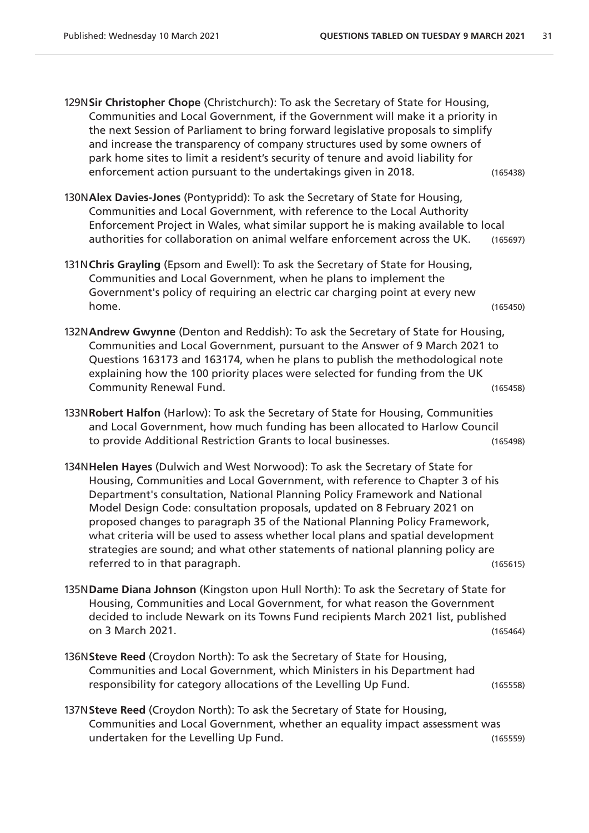129N**Sir Christopher Chope** (Christchurch): To ask the Secretary of State for Housing, Communities and Local Government, if the Government will make it a priority in the next Session of Parliament to bring forward legislative proposals to simplify and increase the transparency of company structures used by some owners of park home sites to limit a resident's security of tenure and avoid liability for enforcement action pursuant to the undertakings given in 2018. (165438)

- 130N**Alex Davies-Jones** (Pontypridd): To ask the Secretary of State for Housing, Communities and Local Government, with reference to the Local Authority Enforcement Project in Wales, what similar support he is making available to local authorities for collaboration on animal welfare enforcement across the UK. (165697)
- 131N**Chris Grayling** (Epsom and Ewell): To ask the Secretary of State for Housing, Communities and Local Government, when he plans to implement the Government's policy of requiring an electric car charging point at every new home. (165450)
- 132N**Andrew Gwynne** (Denton and Reddish): To ask the Secretary of State for Housing, Communities and Local Government, pursuant to the Answer of 9 March 2021 to Questions 163173 and 163174, when he plans to publish the methodological note explaining how the 100 priority places were selected for funding from the UK Community Renewal Fund. (165458)
- 133N**Robert Halfon** (Harlow): To ask the Secretary of State for Housing, Communities and Local Government, how much funding has been allocated to Harlow Council to provide Additional Restriction Grants to local businesses. (165498)
- 134N**Helen Hayes** (Dulwich and West Norwood): To ask the Secretary of State for Housing, Communities and Local Government, with reference to Chapter 3 of his Department's consultation, National Planning Policy Framework and National Model Design Code: consultation proposals, updated on 8 February 2021 on proposed changes to paragraph 35 of the National Planning Policy Framework, what criteria will be used to assess whether local plans and spatial development strategies are sound; and what other statements of national planning policy are referred to in that paragraph. (165615)
- 135N**Dame Diana Johnson** (Kingston upon Hull North): To ask the Secretary of State for Housing, Communities and Local Government, for what reason the Government decided to include Newark on its Towns Fund recipients March 2021 list, published on 3 March 2021. (165464)
- 136N**Steve Reed** (Croydon North): To ask the Secretary of State for Housing, Communities and Local Government, which Ministers in his Department had responsibility for category allocations of the Levelling Up Fund. (165558)
- 137N**Steve Reed** (Croydon North): To ask the Secretary of State for Housing, Communities and Local Government, whether an equality impact assessment was undertaken for the Levelling Up Fund. (165559)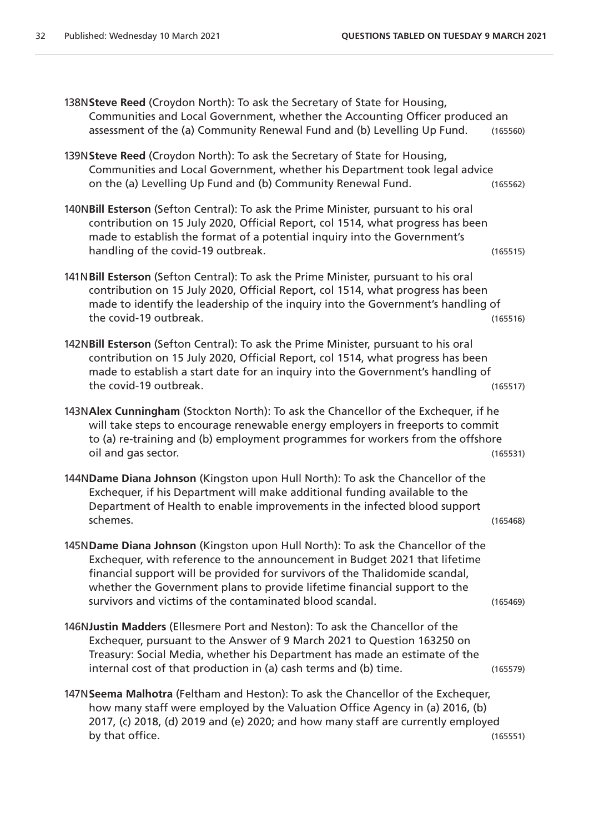138N**Steve Reed** (Croydon North): To ask the Secretary of State for Housing, Communities and Local Government, whether the Accounting Officer produced an assessment of the (a) Community Renewal Fund and (b) Levelling Up Fund. (165560)

- 139N**Steve Reed** (Croydon North): To ask the Secretary of State for Housing, Communities and Local Government, whether his Department took legal advice on the (a) Levelling Up Fund and (b) Community Renewal Fund. (165562)
- 140N**Bill Esterson** (Sefton Central): To ask the Prime Minister, pursuant to his oral contribution on 15 July 2020, Official Report, col 1514, what progress has been made to establish the format of a potential inquiry into the Government's handling of the covid-19 outbreak. (165515)
- 141N**Bill Esterson** (Sefton Central): To ask the Prime Minister, pursuant to his oral contribution on 15 July 2020, Official Report, col 1514, what progress has been made to identify the leadership of the inquiry into the Government's handling of the covid-19 outbreak. (165516)
- 142N**Bill Esterson** (Sefton Central): To ask the Prime Minister, pursuant to his oral contribution on 15 July 2020, Official Report, col 1514, what progress has been made to establish a start date for an inquiry into the Government's handling of the covid-19 outbreak. (165517)
- 143N**Alex Cunningham** (Stockton North): To ask the Chancellor of the Exchequer, if he will take steps to encourage renewable energy employers in freeports to commit to (a) re-training and (b) employment programmes for workers from the offshore oil and gas sector. (165531)
- 144N**Dame Diana Johnson** (Kingston upon Hull North): To ask the Chancellor of the Exchequer, if his Department will make additional funding available to the Department of Health to enable improvements in the infected blood support schemes. (165468)
- 145N**Dame Diana Johnson** (Kingston upon Hull North): To ask the Chancellor of the Exchequer, with reference to the announcement in Budget 2021 that lifetime financial support will be provided for survivors of the Thalidomide scandal, whether the Government plans to provide lifetime financial support to the survivors and victims of the contaminated blood scandal. (165469)
- 146N**Justin Madders** (Ellesmere Port and Neston): To ask the Chancellor of the Exchequer, pursuant to the Answer of 9 March 2021 to Question 163250 on Treasury: Social Media, whether his Department has made an estimate of the internal cost of that production in (a) cash terms and (b) time. (165579)
- 147N**Seema Malhotra** (Feltham and Heston): To ask the Chancellor of the Exchequer, how many staff were employed by the Valuation Office Agency in (a) 2016, (b) 2017, (c) 2018, (d) 2019 and (e) 2020; and how many staff are currently employed by that office. (165551)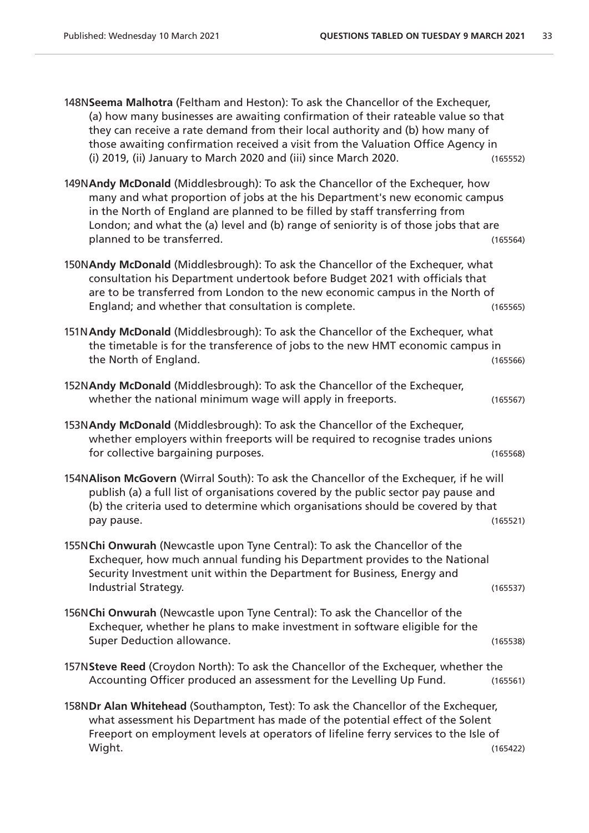| 148N Seema Malhotra (Feltham and Heston): To ask the Chancellor of the Exchequer,<br>(a) how many businesses are awaiting confirmation of their rateable value so that<br>they can receive a rate demand from their local authority and (b) how many of<br>those awaiting confirmation received a visit from the Valuation Office Agency in<br>(i) 2019, (ii) January to March 2020 and (iii) since March 2020. | (165552) |
|-----------------------------------------------------------------------------------------------------------------------------------------------------------------------------------------------------------------------------------------------------------------------------------------------------------------------------------------------------------------------------------------------------------------|----------|
| 149NAndy McDonald (Middlesbrough): To ask the Chancellor of the Exchequer, how<br>many and what proportion of jobs at the his Department's new economic campus<br>in the North of England are planned to be filled by staff transferring from<br>London; and what the (a) level and (b) range of seniority is of those jobs that are<br>planned to be transferred.                                              | (165564) |
| 150NAndy McDonald (Middlesbrough): To ask the Chancellor of the Exchequer, what<br>consultation his Department undertook before Budget 2021 with officials that<br>are to be transferred from London to the new economic campus in the North of<br>England; and whether that consultation is complete.                                                                                                          | (165565) |
| 151N Andy McDonald (Middlesbrough): To ask the Chancellor of the Exchequer, what<br>the timetable is for the transference of jobs to the new HMT economic campus in<br>the North of England.                                                                                                                                                                                                                    | (165566) |
| 152NAndy McDonald (Middlesbrough): To ask the Chancellor of the Exchequer,<br>whether the national minimum wage will apply in freeports.                                                                                                                                                                                                                                                                        | (165567) |
| 153N Andy McDonald (Middlesbrough): To ask the Chancellor of the Exchequer,<br>whether employers within freeports will be required to recognise trades unions<br>for collective bargaining purposes.                                                                                                                                                                                                            | (165568) |
| 154NAlison McGovern (Wirral South): To ask the Chancellor of the Exchequer, if he will<br>publish (a) a full list of organisations covered by the public sector pay pause and<br>(b) the criteria used to determine which organisations should be covered by that<br>pay pause.                                                                                                                                 | (165521) |
| 155NChi Onwurah (Newcastle upon Tyne Central): To ask the Chancellor of the<br>Exchequer, how much annual funding his Department provides to the National<br>Security Investment unit within the Department for Business, Energy and<br>Industrial Strategy.                                                                                                                                                    | (165537) |
| 156NChi Onwurah (Newcastle upon Tyne Central): To ask the Chancellor of the<br>Exchequer, whether he plans to make investment in software eligible for the<br>Super Deduction allowance.                                                                                                                                                                                                                        | (165538) |
| 157N Steve Reed (Croydon North): To ask the Chancellor of the Exchequer, whether the<br>Accounting Officer produced an assessment for the Levelling Up Fund.                                                                                                                                                                                                                                                    | (165561) |
| 158NDr Alan Whitehead (Southampton, Test): To ask the Chancellor of the Exchequer,<br>what assessment his Department has made of the potential effect of the Solent<br>Freeport on employment levels at operators of lifeline ferry services to the Isle of<br>Wight.                                                                                                                                           | (165422) |